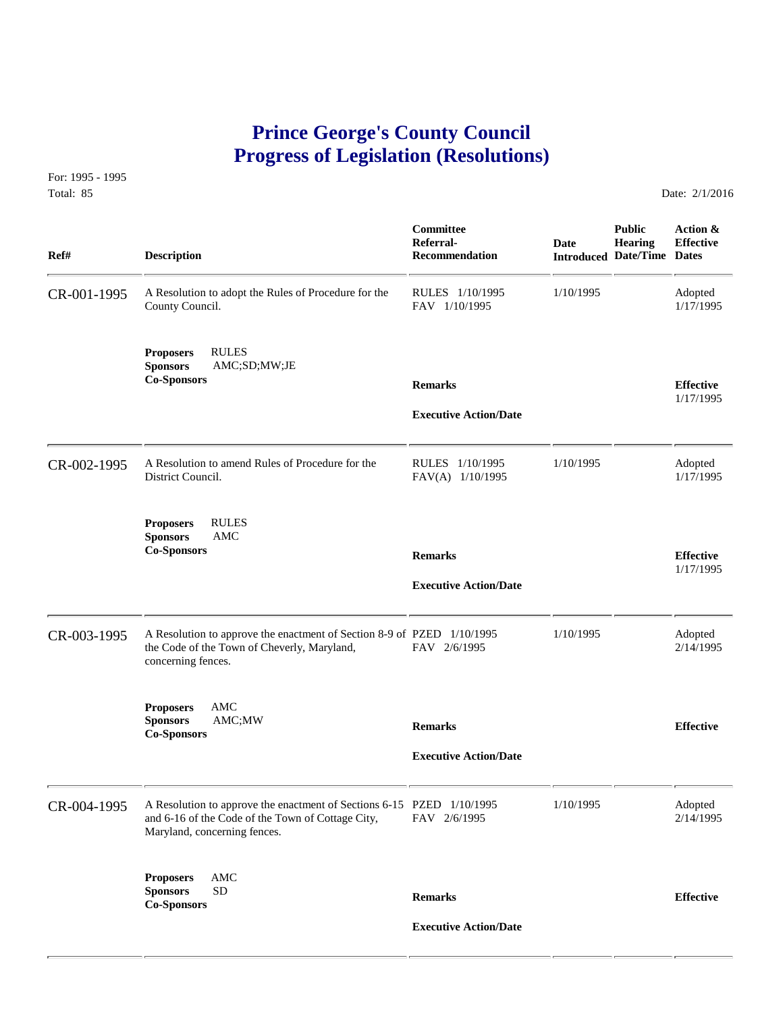## **Prince George's County Council Progress of Legislation (Resolutions)**

For: 1995 - 1995 Total: 85 Date: 2/1/2016

| Ref#        | <b>Description</b>                                                                                                                                         | Committee<br>Referral-<br>Recommendation       | Date      | <b>Public</b><br><b>Hearing</b><br><b>Introduced Date/Time Dates</b> | Action &<br><b>Effective</b>  |
|-------------|------------------------------------------------------------------------------------------------------------------------------------------------------------|------------------------------------------------|-----------|----------------------------------------------------------------------|-------------------------------|
| CR-001-1995 | A Resolution to adopt the Rules of Procedure for the<br>County Council.                                                                                    | RULES 1/10/1995<br>FAV 1/10/1995               | 1/10/1995 |                                                                      | Adopted<br>1/17/1995          |
|             | <b>RULES</b><br><b>Proposers</b><br><b>Sponsors</b><br>AMC;SD;MW;JE<br><b>Co-Sponsors</b>                                                                  | <b>Remarks</b><br><b>Executive Action/Date</b> |           |                                                                      | <b>Effective</b><br>1/17/1995 |
| CR-002-1995 | A Resolution to amend Rules of Procedure for the<br>District Council.                                                                                      | RULES 1/10/1995<br>FAV(A) 1/10/1995            | 1/10/1995 |                                                                      | Adopted<br>1/17/1995          |
|             | <b>RULES</b><br><b>Proposers</b><br>AMC<br><b>Sponsors</b><br><b>Co-Sponsors</b>                                                                           | <b>Remarks</b><br><b>Executive Action/Date</b> |           |                                                                      | <b>Effective</b><br>1/17/1995 |
| CR-003-1995 | A Resolution to approve the enactment of Section 8-9 of PZED 1/10/1995<br>the Code of the Town of Cheverly, Maryland,<br>concerning fences.                | FAV 2/6/1995                                   | 1/10/1995 |                                                                      | Adopted<br>2/14/1995          |
|             | <b>Proposers</b><br>AMC<br><b>Sponsors</b><br>AMC;MW<br><b>Co-Sponsors</b>                                                                                 | <b>Remarks</b><br><b>Executive Action/Date</b> |           |                                                                      | <b>Effective</b>              |
| CR-004-1995 | A Resolution to approve the enactment of Sections 6-15 PZED 1/10/1995<br>and 6-16 of the Code of the Town of Cottage City,<br>Maryland, concerning fences. | FAV 2/6/1995                                   | 1/10/1995 |                                                                      | Adopted<br>2/14/1995          |
|             | AMC<br><b>Proposers</b><br><b>Sponsors</b><br><b>SD</b><br><b>Co-Sponsors</b>                                                                              | <b>Remarks</b><br><b>Executive Action/Date</b> |           |                                                                      | <b>Effective</b>              |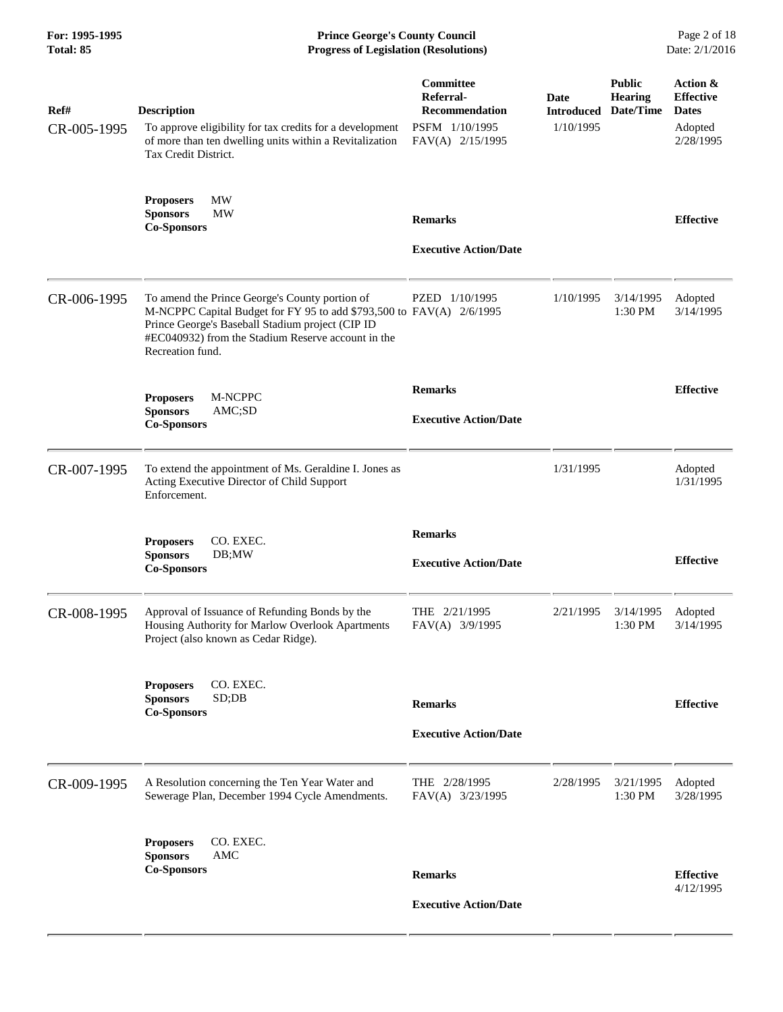| For: 1995-1995<br><b>Total: 85</b> | <b>Prince George's County Council</b><br><b>Progress of Legislation (Resolutions)</b>                                                                                                                                                                |                                                                                       |                                        |                                              | Page 2 of 18<br>Date: 2/1/2016                                       |
|------------------------------------|------------------------------------------------------------------------------------------------------------------------------------------------------------------------------------------------------------------------------------------------------|---------------------------------------------------------------------------------------|----------------------------------------|----------------------------------------------|----------------------------------------------------------------------|
| Ref#<br>CR-005-1995                | <b>Description</b><br>To approve eligibility for tax credits for a development<br>of more than ten dwelling units within a Revitalization<br>Tax Credit District.                                                                                    | Committee<br>Referral-<br><b>Recommendation</b><br>PSFM 1/10/1995<br>FAV(A) 2/15/1995 | Date<br><b>Introduced</b><br>1/10/1995 | <b>Public</b><br><b>Hearing</b><br>Date/Time | Action &<br><b>Effective</b><br><b>Dates</b><br>Adopted<br>2/28/1995 |
|                                    | MW<br><b>Proposers</b><br><b>MW</b><br><b>Sponsors</b><br><b>Co-Sponsors</b>                                                                                                                                                                         | <b>Remarks</b><br><b>Executive Action/Date</b>                                        |                                        |                                              | <b>Effective</b>                                                     |
| CR-006-1995                        | To amend the Prince George's County portion of<br>M-NCPPC Capital Budget for FY 95 to add \$793,500 to FAV(A) 2/6/1995<br>Prince George's Baseball Stadium project (CIP ID<br>#EC040932) from the Stadium Reserve account in the<br>Recreation fund. | PZED 1/10/1995                                                                        | 1/10/1995                              | 3/14/1995<br>1:30 PM                         | Adopted<br>3/14/1995                                                 |
|                                    | M-NCPPC<br><b>Proposers</b><br><b>Sponsors</b><br>AMC;SD<br><b>Co-Sponsors</b>                                                                                                                                                                       | <b>Remarks</b><br><b>Executive Action/Date</b>                                        |                                        |                                              | <b>Effective</b>                                                     |
| CR-007-1995                        | To extend the appointment of Ms. Geraldine I. Jones as<br>Acting Executive Director of Child Support<br>Enforcement.                                                                                                                                 |                                                                                       | 1/31/1995                              |                                              | Adopted<br>1/31/1995                                                 |
|                                    | <b>Proposers</b><br>CO. EXEC.<br><b>Sponsors</b><br>DB;MW<br><b>Co-Sponsors</b>                                                                                                                                                                      | <b>Remarks</b><br><b>Executive Action/Date</b>                                        |                                        |                                              | <b>Effective</b>                                                     |
| CR-008-1995                        | Approval of Issuance of Refunding Bonds by the<br>Housing Authority for Marlow Overlook Apartments<br>Project (also known as Cedar Ridge).                                                                                                           | THE 2/21/1995<br>FAV(A) 3/9/1995                                                      | 2/21/1995                              | 3/14/1995<br>1:30 PM                         | Adopted<br>3/14/1995                                                 |
|                                    | CO. EXEC.<br><b>Proposers</b><br><b>Sponsors</b><br>SD;DB<br><b>Co-Sponsors</b>                                                                                                                                                                      | <b>Remarks</b><br><b>Executive Action/Date</b>                                        |                                        |                                              | <b>Effective</b>                                                     |
| CR-009-1995                        | A Resolution concerning the Ten Year Water and<br>Sewerage Plan, December 1994 Cycle Amendments.                                                                                                                                                     | THE 2/28/1995<br>FAV(A) 3/23/1995                                                     | 2/28/1995                              | 3/21/1995<br>1:30 PM                         | Adopted<br>3/28/1995                                                 |
|                                    | CO. EXEC.<br><b>Proposers</b><br><b>Sponsors</b><br>AMC<br><b>Co-Sponsors</b>                                                                                                                                                                        | <b>Remarks</b><br><b>Executive Action/Date</b>                                        |                                        |                                              | <b>Effective</b><br>4/12/1995                                        |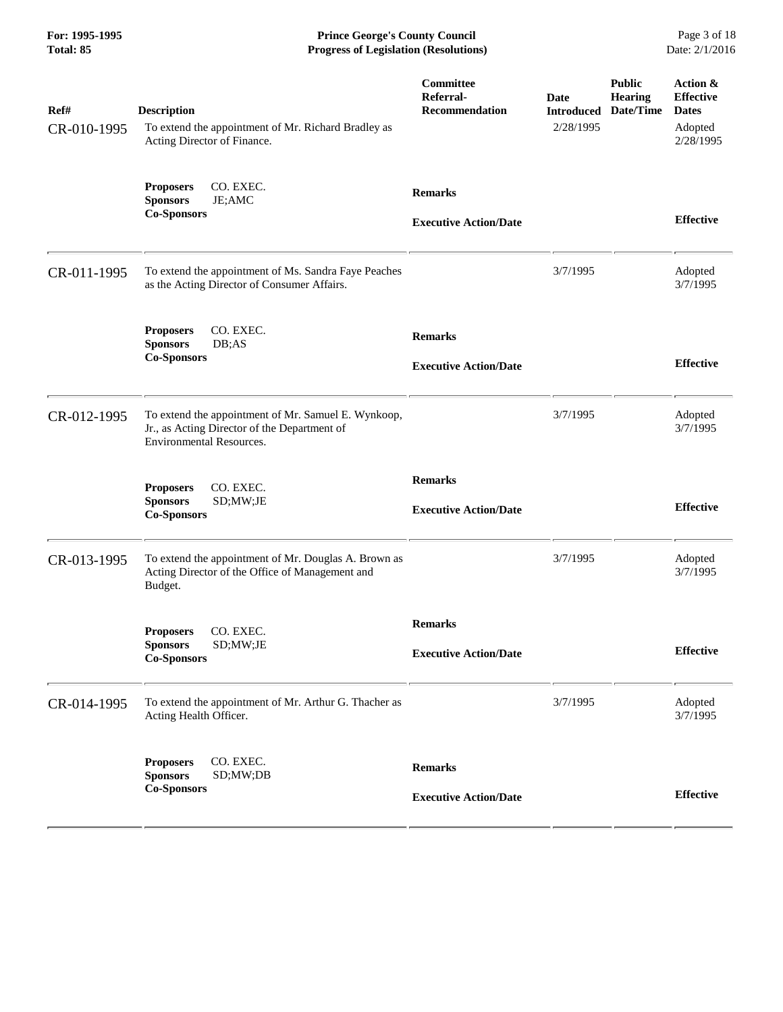**For: 1995-1995 Prince George's County Council** Page 3 of 18<br> **Prince George's County Council** Page 3 of 18<br> **Progress of Legislation (Resolutions)** Date: 2/1/2016 **Progress of Legislation (Resolutions) Progress of Legislation (Resolutions)** 

| Ref#<br>CR-010-1995 | <b>Description</b><br>To extend the appointment of Mr. Richard Bradley as<br>Acting Director of Finance.                               | Committee<br>Referral-<br><b>Recommendation</b> | Date<br><b>Introduced</b><br>2/28/1995 | <b>Public</b><br><b>Hearing</b><br>Date/Time | Action &<br><b>Effective</b><br><b>Dates</b><br>Adopted<br>2/28/1995 |
|---------------------|----------------------------------------------------------------------------------------------------------------------------------------|-------------------------------------------------|----------------------------------------|----------------------------------------------|----------------------------------------------------------------------|
|                     | CO. EXEC.<br><b>Proposers</b><br><b>Sponsors</b><br>JE;AMC<br><b>Co-Sponsors</b>                                                       | <b>Remarks</b><br><b>Executive Action/Date</b>  |                                        |                                              | <b>Effective</b>                                                     |
| CR-011-1995         | To extend the appointment of Ms. Sandra Faye Peaches<br>as the Acting Director of Consumer Affairs.                                    |                                                 | 3/7/1995                               |                                              | Adopted<br>3/7/1995                                                  |
|                     | CO. EXEC.<br><b>Proposers</b><br>DB;AS<br><b>Sponsors</b><br><b>Co-Sponsors</b>                                                        | <b>Remarks</b><br><b>Executive Action/Date</b>  |                                        |                                              | <b>Effective</b>                                                     |
| CR-012-1995         | To extend the appointment of Mr. Samuel E. Wynkoop,<br>Jr., as Acting Director of the Department of<br><b>Environmental Resources.</b> |                                                 | 3/7/1995                               |                                              | Adopted<br>3/7/1995                                                  |
|                     | CO. EXEC.<br><b>Proposers</b><br><b>Sponsors</b><br>SD;MW;JE<br><b>Co-Sponsors</b>                                                     | <b>Remarks</b><br><b>Executive Action/Date</b>  |                                        |                                              | <b>Effective</b>                                                     |
| CR-013-1995         | To extend the appointment of Mr. Douglas A. Brown as<br>Acting Director of the Office of Management and<br>Budget.                     |                                                 | 3/7/1995                               |                                              | Adopted<br>3/7/1995                                                  |
|                     | CO. EXEC.<br><b>Proposers</b><br>SD;MW;JE<br><b>Sponsors</b><br><b>Co-Sponsors</b>                                                     | <b>Remarks</b><br><b>Executive Action/Date</b>  |                                        |                                              | <b>Effective</b>                                                     |
| CR-014-1995         | To extend the appointment of Mr. Arthur G. Thacher as<br>Acting Health Officer.                                                        |                                                 | 3/7/1995                               |                                              | Adopted<br>3/7/1995                                                  |
|                     | CO. EXEC.<br><b>Proposers</b><br><b>Sponsors</b><br>SD;MW;DB<br><b>Co-Sponsors</b>                                                     | <b>Remarks</b><br><b>Executive Action/Date</b>  |                                        |                                              | <b>Effective</b>                                                     |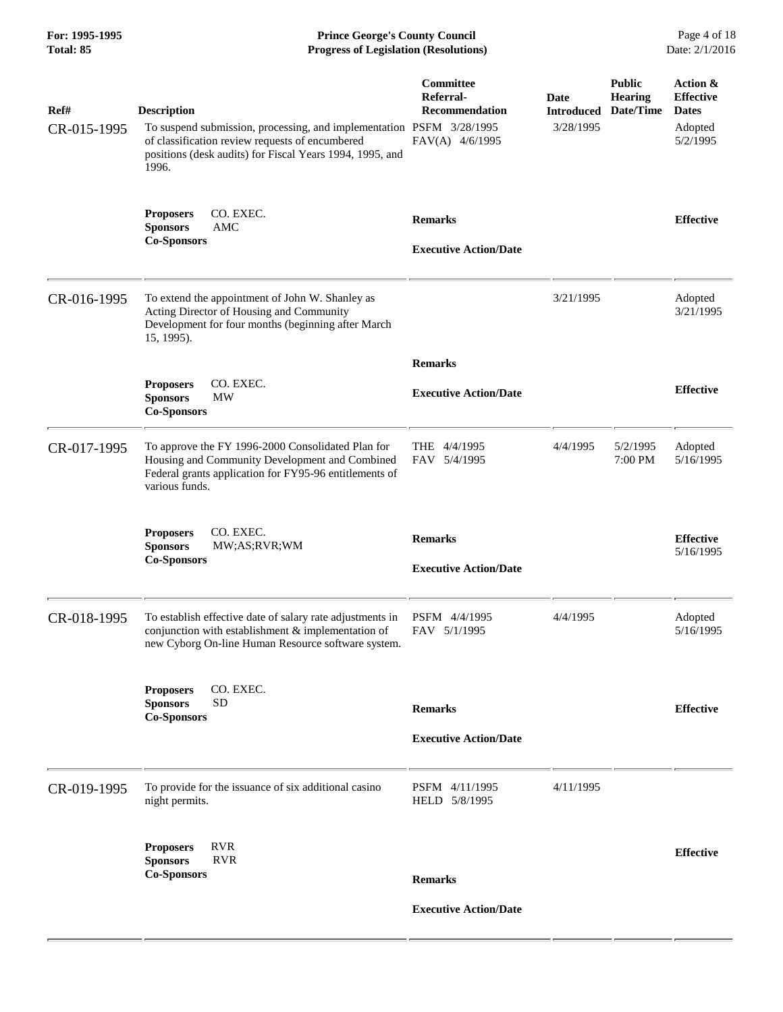| For: 1995-1995<br>Total: 85 | <b>Prince George's County Council</b><br><b>Progress of Legislation (Resolutions)</b>                                                                                                                              |                                                                           |                                        |                                              | Page 4 of 18<br>Date: 2/1/2016                                      |
|-----------------------------|--------------------------------------------------------------------------------------------------------------------------------------------------------------------------------------------------------------------|---------------------------------------------------------------------------|----------------------------------------|----------------------------------------------|---------------------------------------------------------------------|
| Ref#<br>CR-015-1995         | <b>Description</b><br>To suspend submission, processing, and implementation PSFM 3/28/1995<br>of classification review requests of encumbered<br>positions (desk audits) for Fiscal Years 1994, 1995, and<br>1996. | <b>Committee</b><br>Referral-<br><b>Recommendation</b><br>FAV(A) 4/6/1995 | Date<br><b>Introduced</b><br>3/28/1995 | <b>Public</b><br><b>Hearing</b><br>Date/Time | Action &<br><b>Effective</b><br><b>Dates</b><br>Adopted<br>5/2/1995 |
|                             | CO. EXEC.<br><b>Proposers</b><br><b>Sponsors</b><br><b>AMC</b><br><b>Co-Sponsors</b>                                                                                                                               | <b>Remarks</b><br><b>Executive Action/Date</b>                            |                                        |                                              | <b>Effective</b>                                                    |
| CR-016-1995                 | To extend the appointment of John W. Shanley as<br>Acting Director of Housing and Community<br>Development for four months (beginning after March<br>15, 1995).                                                    |                                                                           | 3/21/1995                              |                                              | Adopted<br>3/21/1995                                                |
|                             |                                                                                                                                                                                                                    | <b>Remarks</b>                                                            |                                        |                                              |                                                                     |
|                             | CO. EXEC.<br><b>Proposers</b><br><b>Sponsors</b><br><b>MW</b><br><b>Co-Sponsors</b>                                                                                                                                | <b>Executive Action/Date</b>                                              |                                        |                                              | <b>Effective</b>                                                    |
| CR-017-1995                 | To approve the FY 1996-2000 Consolidated Plan for<br>Housing and Community Development and Combined<br>Federal grants application for FY95-96 entitlements of<br>various funds.                                    | THE 4/4/1995<br>FAV 5/4/1995                                              | 4/4/1995                               | 5/2/1995<br>7:00 PM                          | Adopted<br>5/16/1995                                                |
|                             | CO. EXEC.<br><b>Proposers</b>                                                                                                                                                                                      | <b>Remarks</b>                                                            |                                        |                                              | <b>Effective</b>                                                    |

|             | CO. EXEC.<br><b>Proposers</b><br><b>Sponsors</b><br>MW;AS;RVR;WM<br><b>Co-Sponsors</b>                                                                                | <b>Remarks</b><br><b>Executive Action/Date</b> | <b>Effective</b><br>5/16/1995 |
|-------------|-----------------------------------------------------------------------------------------------------------------------------------------------------------------------|------------------------------------------------|-------------------------------|
| CR-018-1995 | To establish effective date of salary rate adjustments in<br>conjunction with establishment & implementation of<br>new Cyborg On-line Human Resource software system. | PSFM 4/4/1995<br>4/4/1995<br>FAV 5/1/1995      | Adopted<br>5/16/1995          |
|             | CO. EXEC.<br><b>Proposers</b><br><b>Sponsors</b><br><b>SD</b><br><b>Co-Sponsors</b>                                                                                   | <b>Remarks</b><br><b>Executive Action/Date</b> | <b>Effective</b>              |
| CR-019-1995 | To provide for the issuance of six additional casino<br>night permits.                                                                                                | PSFM 4/11/1995<br>4/11/1995<br>HELD 5/8/1995   |                               |
|             | <b>RVR</b><br><b>Proposers</b><br><b>RVR</b><br><b>Sponsors</b><br><b>Co-Sponsors</b>                                                                                 | <b>Remarks</b><br><b>Executive Action/Date</b> | <b>Effective</b>              |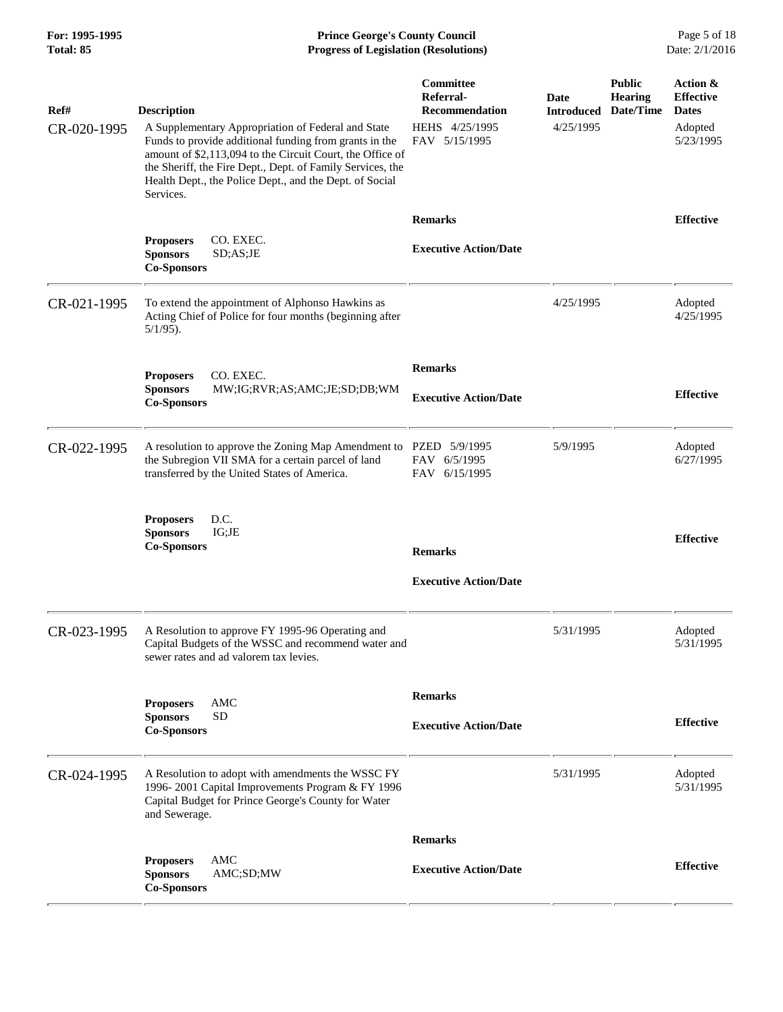## **For: 1995-1995 Prince George's County Council** Page 5 of 18<br> **Prince George's County Council** Page 5 of 18<br> **Progress of Legislation (Resolutions)** Date: 2/1/2016 **Progress of Legislation (Resolutions) Progress of Legislation (Resolutions)**

| Ref#<br>CR-020-1995 | <b>Description</b><br>A Supplementary Appropriation of Federal and State<br>Funds to provide additional funding from grants in the<br>amount of \$2,113,094 to the Circuit Court, the Office of<br>the Sheriff, the Fire Dept., Dept. of Family Services, the<br>Health Dept., the Police Dept., and the Dept. of Social | Committee<br>Referral-<br><b>Recommendation</b><br>HEHS 4/25/1995<br>FAV 5/15/1995 | Date<br><b>Introduced</b><br>4/25/1995 | <b>Public</b><br><b>Hearing</b><br>Date/Time | Action &<br><b>Effective</b><br><b>Dates</b><br>Adopted<br>5/23/1995 |
|---------------------|--------------------------------------------------------------------------------------------------------------------------------------------------------------------------------------------------------------------------------------------------------------------------------------------------------------------------|------------------------------------------------------------------------------------|----------------------------------------|----------------------------------------------|----------------------------------------------------------------------|
|                     | Services.<br>CO. EXEC.<br><b>Proposers</b><br><b>Sponsors</b><br>SD; AS; JE<br><b>Co-Sponsors</b>                                                                                                                                                                                                                        | <b>Remarks</b><br><b>Executive Action/Date</b>                                     |                                        |                                              | <b>Effective</b>                                                     |
| CR-021-1995         | To extend the appointment of Alphonso Hawkins as<br>Acting Chief of Police for four months (beginning after<br>$5/1/95$ ).                                                                                                                                                                                               |                                                                                    | 4/25/1995                              |                                              | Adopted<br>4/25/1995                                                 |
|                     | CO. EXEC.<br><b>Proposers</b><br><b>Sponsors</b><br>MW;IG;RVR;AS;AMC;JE;SD;DB;WM<br><b>Co-Sponsors</b>                                                                                                                                                                                                                   | <b>Remarks</b><br><b>Executive Action/Date</b>                                     |                                        |                                              | <b>Effective</b>                                                     |
| CR-022-1995         | A resolution to approve the Zoning Map Amendment to<br>the Subregion VII SMA for a certain parcel of land<br>transferred by the United States of America.                                                                                                                                                                | PZED 5/9/1995<br>FAV 6/5/1995<br>FAV 6/15/1995                                     | 5/9/1995                               |                                              | Adopted<br>6/27/1995                                                 |
|                     | D.C.<br><b>Proposers</b><br>IG;JE<br><b>Sponsors</b><br><b>Co-Sponsors</b>                                                                                                                                                                                                                                               | <b>Remarks</b><br><b>Executive Action/Date</b>                                     |                                        |                                              | <b>Effective</b>                                                     |
| CR-023-1995         | A Resolution to approve FY 1995-96 Operating and<br>Capital Budgets of the WSSC and recommend water and<br>sewer rates and ad valorem tax levies.                                                                                                                                                                        |                                                                                    | 5/31/1995                              |                                              | Adopted<br>5/31/1995                                                 |
|                     | <b>AMC</b><br><b>Proposers</b><br><b>SD</b><br><b>Sponsors</b><br><b>Co-Sponsors</b>                                                                                                                                                                                                                                     | <b>Remarks</b><br><b>Executive Action/Date</b>                                     |                                        |                                              | <b>Effective</b>                                                     |
| CR-024-1995         | A Resolution to adopt with amendments the WSSC FY<br>1996-2001 Capital Improvements Program & FY 1996<br>Capital Budget for Prince George's County for Water<br>and Sewerage.                                                                                                                                            |                                                                                    | 5/31/1995                              |                                              | Adopted<br>5/31/1995                                                 |
|                     |                                                                                                                                                                                                                                                                                                                          | <b>Remarks</b>                                                                     |                                        |                                              |                                                                      |
|                     | <b>AMC</b><br><b>Proposers</b><br>AMC;SD;MW<br><b>Sponsors</b><br><b>Co-Sponsors</b>                                                                                                                                                                                                                                     | <b>Executive Action/Date</b>                                                       |                                        |                                              | <b>Effective</b>                                                     |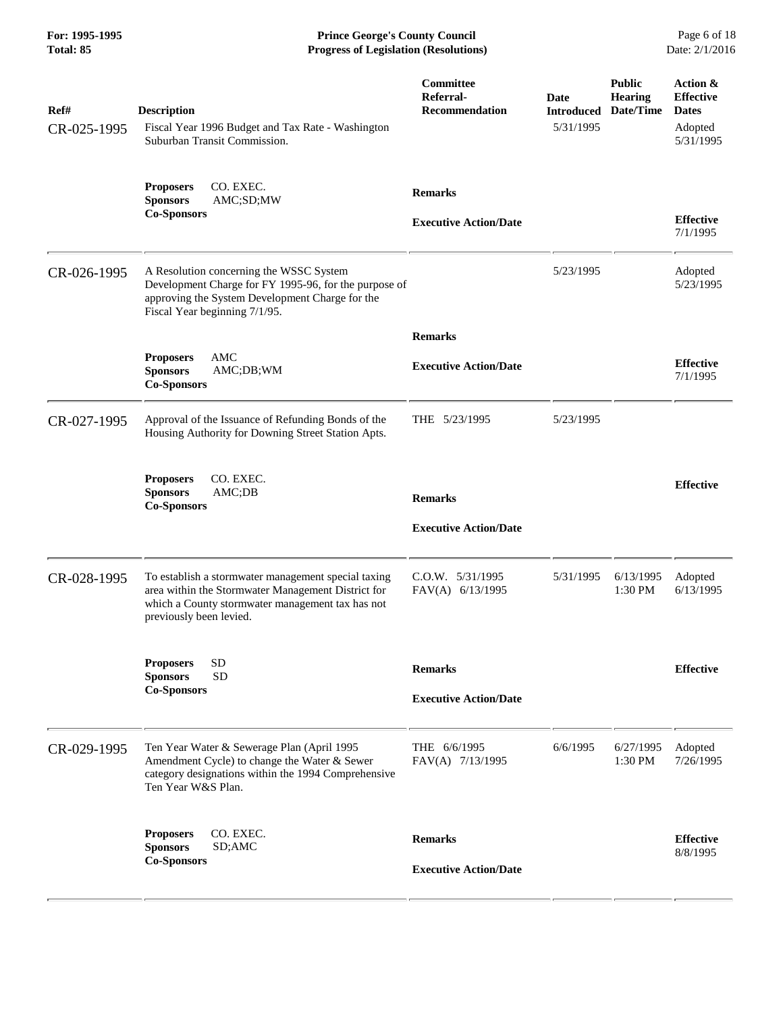**For: 1995-1995 Prince George's County Council** Page 6 of 18<br> **Prince George's County Council** Page 6 of 18<br> **Progress of Legislation (Resolutions)** Date: 2/1/2016 **Progress of Legislation (Resolutions) Progress of Legislation (Resolutions)** 

| Ref#<br>CR-025-1995 | <b>Description</b><br>Fiscal Year 1996 Budget and Tax Rate - Washington<br>Suburban Transit Commission.                                                                                  | Committee<br>Referral-<br><b>Recommendation</b> | Date<br><b>Introduced</b><br>5/31/1995 | <b>Public</b><br><b>Hearing</b><br>Date/Time | Action &<br><b>Effective</b><br><b>Dates</b><br>Adopted<br>5/31/1995 |
|---------------------|------------------------------------------------------------------------------------------------------------------------------------------------------------------------------------------|-------------------------------------------------|----------------------------------------|----------------------------------------------|----------------------------------------------------------------------|
|                     | CO. EXEC.<br><b>Proposers</b><br><b>Sponsors</b><br>AMC;SD;MW<br><b>Co-Sponsors</b>                                                                                                      | <b>Remarks</b><br><b>Executive Action/Date</b>  |                                        |                                              | <b>Effective</b><br>7/1/1995                                         |
| CR-026-1995         | A Resolution concerning the WSSC System<br>Development Charge for FY 1995-96, for the purpose of<br>approving the System Development Charge for the<br>Fiscal Year beginning 7/1/95.     |                                                 | 5/23/1995                              |                                              | Adopted<br>5/23/1995                                                 |
|                     | AMC<br><b>Proposers</b><br><b>Sponsors</b><br>AMC;DB;WM<br><b>Co-Sponsors</b>                                                                                                            | <b>Remarks</b><br><b>Executive Action/Date</b>  |                                        |                                              | <b>Effective</b><br>7/1/1995                                         |
| CR-027-1995         | Approval of the Issuance of Refunding Bonds of the<br>Housing Authority for Downing Street Station Apts.                                                                                 | THE 5/23/1995                                   | 5/23/1995                              |                                              |                                                                      |
|                     | CO. EXEC.<br><b>Proposers</b><br>AMC;DB<br><b>Sponsors</b><br><b>Co-Sponsors</b>                                                                                                         | <b>Remarks</b><br><b>Executive Action/Date</b>  |                                        |                                              | <b>Effective</b>                                                     |
| CR-028-1995         | To establish a stormwater management special taxing<br>area within the Stormwater Management District for<br>which a County stormwater management tax has not<br>previously been levied. | $C.0.W.$ $5/31/1995$<br>FAV(A) 6/13/1995        | 5/31/1995                              | 6/13/1995<br>1:30 PM                         | Adopted<br>6/13/1995                                                 |
|                     | <b>SD</b><br><b>Proposers</b><br><b>Sponsors</b><br><b>SD</b><br><b>Co-Sponsors</b>                                                                                                      | <b>Remarks</b><br><b>Executive Action/Date</b>  |                                        |                                              | <b>Effective</b>                                                     |
| CR-029-1995         | Ten Year Water & Sewerage Plan (April 1995<br>Amendment Cycle) to change the Water & Sewer<br>category designations within the 1994 Comprehensive<br>Ten Year W&S Plan.                  | THE 6/6/1995<br>FAV(A) 7/13/1995                | 6/6/1995                               | 6/27/1995<br>1:30 PM                         | Adopted<br>7/26/1995                                                 |
|                     | CO. EXEC.<br><b>Proposers</b><br><b>Sponsors</b><br>SD;AMC<br><b>Co-Sponsors</b>                                                                                                         | <b>Remarks</b><br><b>Executive Action/Date</b>  |                                        |                                              | <b>Effective</b><br>8/8/1995                                         |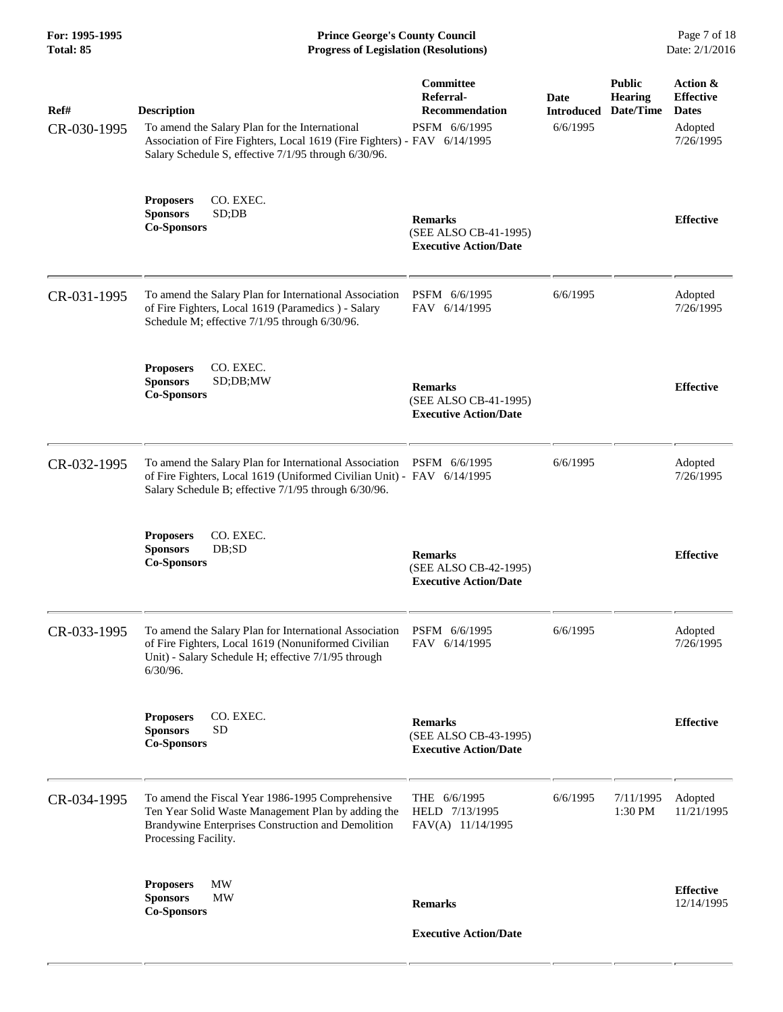**For: 1995-1995 Prince George's County Council** Page 7 of 18<br> **Prince George's County Council** Page 7 of 18<br> **Progress of Legislation (Resolutions)** Date: 2/1/2016 **Progress of Legislation (Resolutions) Progress of Legislation (Resolutions)** 

| Ref#<br>CR-030-1995 | <b>Description</b><br>To amend the Salary Plan for the International<br>Association of Fire Fighters, Local 1619 (Fire Fighters) - FAV 6/14/1995<br>Salary Schedule S, effective 7/1/95 through 6/30/96. | Committee<br>Referral-<br><b>Recommendation</b><br>PSFM 6/6/1995        | Date<br><b>Introduced</b><br>6/6/1995 | <b>Public</b><br><b>Hearing</b><br>Date/Time | Action &<br><b>Effective</b><br><b>Dates</b><br>Adopted<br>7/26/1995 |
|---------------------|----------------------------------------------------------------------------------------------------------------------------------------------------------------------------------------------------------|-------------------------------------------------------------------------|---------------------------------------|----------------------------------------------|----------------------------------------------------------------------|
|                     | <b>Proposers</b><br>CO. EXEC.<br><b>Sponsors</b><br>SD;DB<br><b>Co-Sponsors</b>                                                                                                                          | <b>Remarks</b><br>(SEE ALSO CB-41-1995)<br><b>Executive Action/Date</b> |                                       |                                              | <b>Effective</b>                                                     |
| CR-031-1995         | To amend the Salary Plan for International Association<br>of Fire Fighters, Local 1619 (Paramedics) - Salary<br>Schedule M; effective 7/1/95 through 6/30/96.                                            | PSFM 6/6/1995<br>FAV 6/14/1995                                          | 6/6/1995                              |                                              | Adopted<br>7/26/1995                                                 |
|                     | CO. EXEC.<br><b>Proposers</b><br><b>Sponsors</b><br>SD;DB; MW<br><b>Co-Sponsors</b>                                                                                                                      | <b>Remarks</b><br>(SEE ALSO CB-41-1995)<br><b>Executive Action/Date</b> |                                       |                                              | <b>Effective</b>                                                     |
| CR-032-1995         | To amend the Salary Plan for International Association<br>of Fire Fighters, Local 1619 (Uniformed Civilian Unit) - FAV 6/14/1995<br>Salary Schedule B; effective 7/1/95 through 6/30/96.                 | PSFM 6/6/1995                                                           | 6/6/1995                              |                                              | Adopted<br>7/26/1995                                                 |
|                     | CO. EXEC.<br><b>Proposers</b><br><b>Sponsors</b><br>DB;SD<br><b>Co-Sponsors</b>                                                                                                                          | <b>Remarks</b><br>(SEE ALSO CB-42-1995)<br><b>Executive Action/Date</b> |                                       |                                              | <b>Effective</b>                                                     |
| CR-033-1995         | To amend the Salary Plan for International Association<br>of Fire Fighters, Local 1619 (Nonuniformed Civilian<br>Unit) - Salary Schedule H; effective 7/1/95 through<br>6/30/96.                         | PSFM 6/6/1995<br>FAV 6/14/1995                                          | 6/6/1995                              |                                              | Adopted<br>7/26/1995                                                 |
|                     | CO. EXEC.<br><b>Proposers</b><br><b>Sponsors</b><br><b>SD</b><br><b>Co-Sponsors</b>                                                                                                                      | <b>Remarks</b><br>(SEE ALSO CB-43-1995)<br><b>Executive Action/Date</b> |                                       |                                              | <b>Effective</b>                                                     |
| CR-034-1995         | To amend the Fiscal Year 1986-1995 Comprehensive<br>Ten Year Solid Waste Management Plan by adding the<br>Brandywine Enterprises Construction and Demolition<br>Processing Facility.                     | THE 6/6/1995<br>HELD 7/13/1995<br>FAV(A) 11/14/1995                     | 6/6/1995                              | 7/11/1995<br>1:30 PM                         | Adopted<br>11/21/1995                                                |
|                     | MW<br><b>Proposers</b><br><b>Sponsors</b><br><b>MW</b><br><b>Co-Sponsors</b>                                                                                                                             | <b>Remarks</b><br><b>Executive Action/Date</b>                          |                                       |                                              | <b>Effective</b><br>12/14/1995                                       |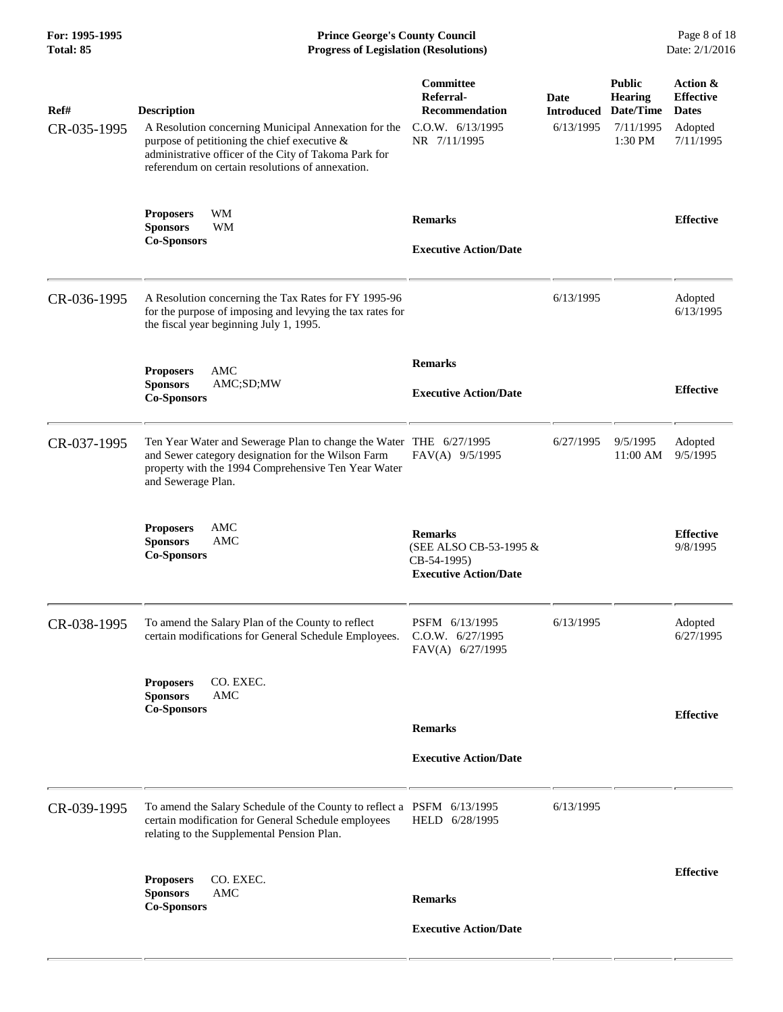**For: 1995-1995 Prince George's County Council** Page 8 of 18<br> **Prince George's County Council** Page 8 of 18<br> **Progress of Legislation (Resolutions)** Date: 2/1/2016 **Progress of Legislation (Resolutions) Progress of Legislation (Resolutions)** 

| Ref#<br>CR-035-1995 | <b>Description</b><br>A Resolution concerning Municipal Annexation for the<br>purpose of petitioning the chief executive &<br>administrative officer of the City of Takoma Park for<br>referendum on certain resolutions of annexation. | Committee<br>Referral-<br><b>Recommendation</b><br>C.0.W. 6/13/1995<br>NR 7/11/1995     | Date<br><b>Introduced</b><br>6/13/1995 | <b>Public</b><br><b>Hearing</b><br>Date/Time<br>7/11/1995<br>1:30 PM | Action &<br><b>Effective</b><br><b>Dates</b><br>Adopted<br>7/11/1995 |
|---------------------|-----------------------------------------------------------------------------------------------------------------------------------------------------------------------------------------------------------------------------------------|-----------------------------------------------------------------------------------------|----------------------------------------|----------------------------------------------------------------------|----------------------------------------------------------------------|
|                     | WM<br><b>Proposers</b><br><b>Sponsors</b><br>WM<br><b>Co-Sponsors</b>                                                                                                                                                                   | <b>Remarks</b><br><b>Executive Action/Date</b>                                          |                                        |                                                                      | <b>Effective</b>                                                     |
| CR-036-1995         | A Resolution concerning the Tax Rates for FY 1995-96<br>for the purpose of imposing and levying the tax rates for<br>the fiscal year beginning July 1, 1995.                                                                            |                                                                                         | 6/13/1995                              |                                                                      | Adopted<br>6/13/1995                                                 |
|                     | AMC<br><b>Proposers</b><br><b>Sponsors</b><br>AMC;SD;MW<br><b>Co-Sponsors</b>                                                                                                                                                           | <b>Remarks</b><br><b>Executive Action/Date</b>                                          |                                        |                                                                      | <b>Effective</b>                                                     |
| CR-037-1995         | Ten Year Water and Sewerage Plan to change the Water THE 6/27/1995<br>and Sewer category designation for the Wilson Farm<br>property with the 1994 Comprehensive Ten Year Water<br>and Sewerage Plan.                                   | FAV(A) 9/5/1995                                                                         | 6/27/1995                              | 9/5/1995<br>11:00 AM                                                 | Adopted<br>9/5/1995                                                  |
|                     | <b>AMC</b><br><b>Proposers</b><br><b>Sponsors</b><br>AMC<br><b>Co-Sponsors</b>                                                                                                                                                          | <b>Remarks</b><br>(SEE ALSO CB-53-1995 &<br>CB-54-1995)<br><b>Executive Action/Date</b> |                                        |                                                                      | <b>Effective</b><br>9/8/1995                                         |
| CR-038-1995         | To amend the Salary Plan of the County to reflect<br>certain modifications for General Schedule Employees.                                                                                                                              | PSFM 6/13/1995<br>$C.0.W.$ 6/27/1995<br>FAV(A) 6/27/1995                                | 6/13/1995                              |                                                                      | Adopted<br>6/27/1995                                                 |
|                     | CO. EXEC.<br><b>Proposers</b><br><b>Sponsors</b><br><b>AMC</b><br><b>Co-Sponsors</b>                                                                                                                                                    | <b>Remarks</b><br><b>Executive Action/Date</b>                                          |                                        |                                                                      | <b>Effective</b>                                                     |
| CR-039-1995         | To amend the Salary Schedule of the County to reflect a PSFM 6/13/1995<br>certain modification for General Schedule employees<br>relating to the Supplemental Pension Plan.                                                             | HELD 6/28/1995                                                                          | 6/13/1995                              |                                                                      |                                                                      |
|                     | <b>Proposers</b><br>CO. EXEC.<br><b>Sponsors</b><br>AMC<br><b>Co-Sponsors</b>                                                                                                                                                           | <b>Remarks</b><br><b>Executive Action/Date</b>                                          |                                        |                                                                      | <b>Effective</b>                                                     |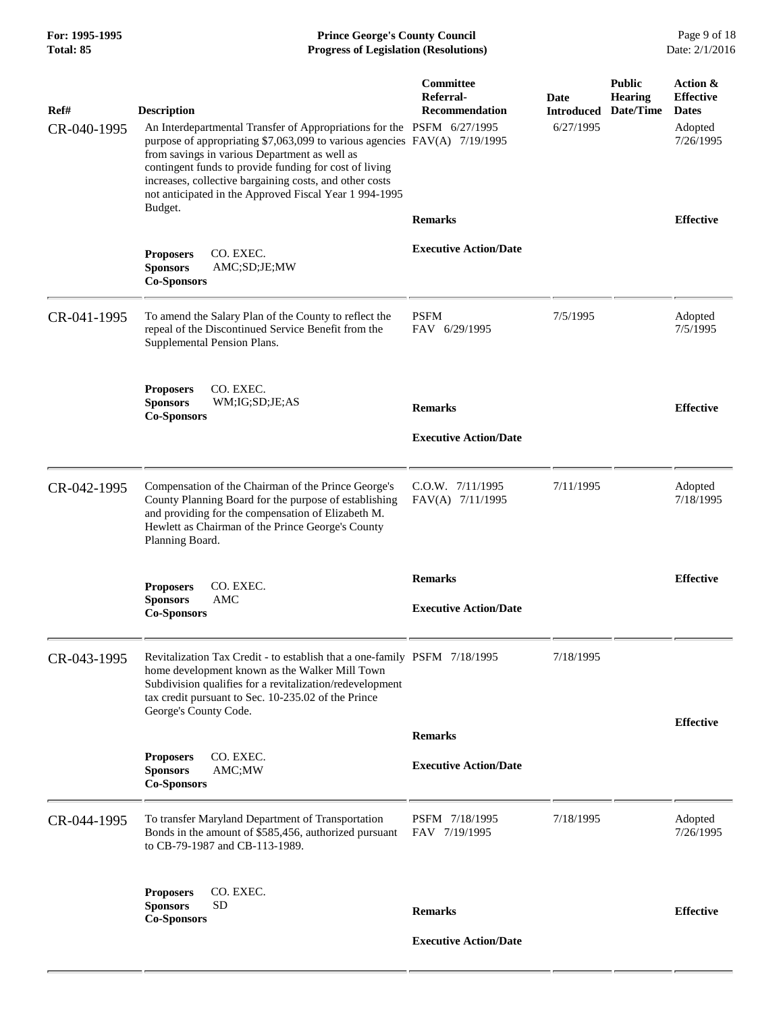| For: 1995-1995<br>Total: 85 | <b>Prince George's County Council</b><br><b>Progress of Legislation (Resolutions)</b>                                                                                                                                                                                                                                                                                                                                |                                                        |                                        |                                              | Page 9 of 18<br>Date: 2/1/2016                                       |
|-----------------------------|----------------------------------------------------------------------------------------------------------------------------------------------------------------------------------------------------------------------------------------------------------------------------------------------------------------------------------------------------------------------------------------------------------------------|--------------------------------------------------------|----------------------------------------|----------------------------------------------|----------------------------------------------------------------------|
| Ref#<br>CR-040-1995         | <b>Description</b><br>An Interdepartmental Transfer of Appropriations for the PSFM 6/27/1995<br>purpose of appropriating \$7,063,099 to various agencies FAV(A) 7/19/1995<br>from savings in various Department as well as<br>contingent funds to provide funding for cost of living<br>increases, collective bargaining costs, and other costs<br>not anticipated in the Approved Fiscal Year 1 994-1995<br>Budget. | <b>Committee</b><br>Referral-<br><b>Recommendation</b> | Date<br><b>Introduced</b><br>6/27/1995 | <b>Public</b><br><b>Hearing</b><br>Date/Time | Action &<br><b>Effective</b><br><b>Dates</b><br>Adopted<br>7/26/1995 |
|                             |                                                                                                                                                                                                                                                                                                                                                                                                                      | <b>Remarks</b>                                         |                                        |                                              | <b>Effective</b>                                                     |
|                             | CO. EXEC.<br><b>Proposers</b><br><b>Sponsors</b><br>AMC;SD;JE;MW<br><b>Co-Sponsors</b>                                                                                                                                                                                                                                                                                                                               | <b>Executive Action/Date</b>                           |                                        |                                              |                                                                      |
| CR-041-1995                 | To amend the Salary Plan of the County to reflect the<br>repeal of the Discontinued Service Benefit from the<br>Supplemental Pension Plans.                                                                                                                                                                                                                                                                          | <b>PSFM</b><br>FAV 6/29/1995                           | 7/5/1995                               |                                              | Adopted<br>7/5/1995                                                  |
|                             | <b>Proposers</b><br>CO. EXEC.<br><b>Sponsors</b><br>WM;IG;SD;JE;AS<br><b>Co-Sponsors</b>                                                                                                                                                                                                                                                                                                                             | <b>Remarks</b>                                         |                                        |                                              | <b>Effective</b>                                                     |
|                             |                                                                                                                                                                                                                                                                                                                                                                                                                      | <b>Executive Action/Date</b>                           |                                        |                                              |                                                                      |
| CR-042-1995                 | Compensation of the Chairman of the Prince George's<br>County Planning Board for the purpose of establishing<br>and providing for the compensation of Elizabeth M.<br>Hewlett as Chairman of the Prince George's County<br>Planning Board.                                                                                                                                                                           | C.O.W. 7/11/1995<br>FAV(A) 7/11/1995                   | 7/11/1995                              |                                              | Adopted<br>7/18/1995                                                 |
|                             | CO. EXEC.<br><b>Proposers</b>                                                                                                                                                                                                                                                                                                                                                                                        | <b>Remarks</b>                                         |                                        |                                              | <b>Effective</b>                                                     |
|                             | AMC<br><b>Sponsors</b><br><b>Co-Sponsors</b>                                                                                                                                                                                                                                                                                                                                                                         | <b>Executive Action/Date</b>                           |                                        |                                              |                                                                      |
| CR-043-1995                 | Revitalization Tax Credit - to establish that a one-family PSFM 7/18/1995<br>home development known as the Walker Mill Town<br>Subdivision qualifies for a revitalization/redevelopment<br>tax credit pursuant to Sec. 10-235.02 of the Prince<br>George's County Code.                                                                                                                                              |                                                        | 7/18/1995                              |                                              |                                                                      |
|                             |                                                                                                                                                                                                                                                                                                                                                                                                                      | <b>Remarks</b>                                         |                                        |                                              | <b>Effective</b>                                                     |
|                             | CO. EXEC.<br><b>Proposers</b><br><b>Sponsors</b><br>AMC;MW<br><b>Co-Sponsors</b>                                                                                                                                                                                                                                                                                                                                     | <b>Executive Action/Date</b>                           |                                        |                                              |                                                                      |
| CR-044-1995                 | To transfer Maryland Department of Transportation<br>Bonds in the amount of \$585,456, authorized pursuant<br>to CB-79-1987 and CB-113-1989.                                                                                                                                                                                                                                                                         | PSFM 7/18/1995<br>FAV 7/19/1995                        | 7/18/1995                              |                                              | Adopted<br>7/26/1995                                                 |
|                             | CO. EXEC.<br><b>Proposers</b><br><b>SD</b><br><b>Sponsors</b><br><b>Co-Sponsors</b>                                                                                                                                                                                                                                                                                                                                  | <b>Remarks</b>                                         |                                        |                                              | <b>Effective</b>                                                     |

 **Executive Action/Date**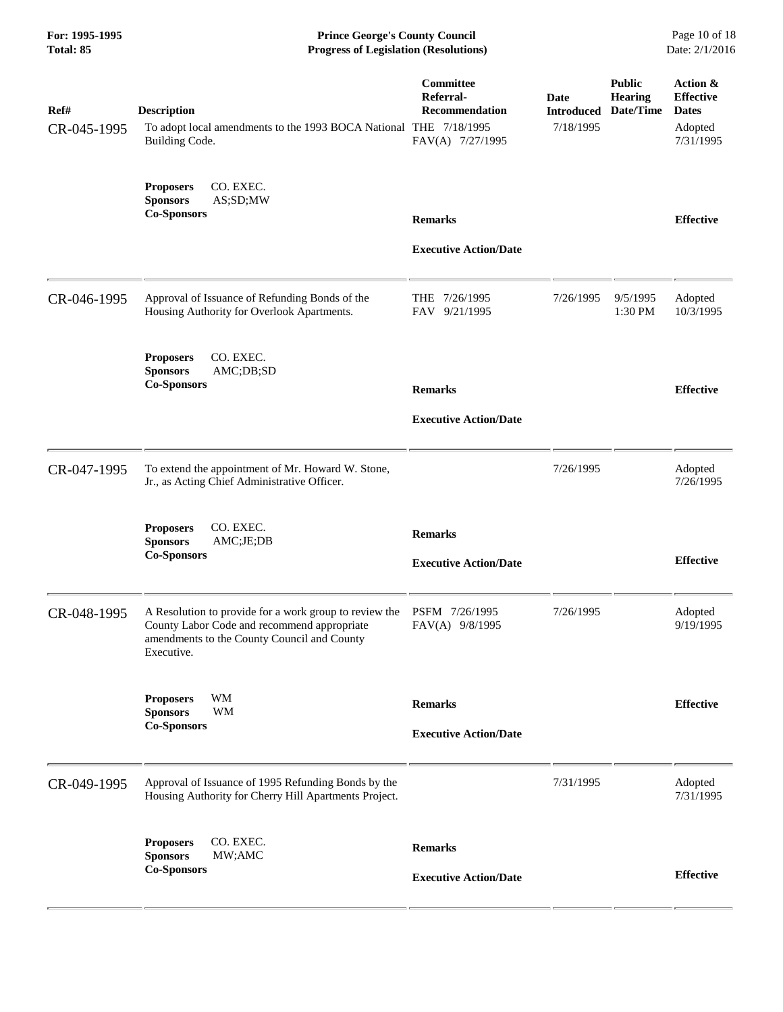**For: 1995-1995 Prince George's County Council** Page 10 of 18<br> **Progress of Legislation (Resolutions)** Date: 2/1/2016 **Progress of Legislation (Resolutions) Progress of Legislation (Resolutions)** 

| Ref#<br>CR-045-1995 | <b>Description</b><br>To adopt local amendments to the 1993 BOCA National THE 7/18/1995<br>Building Code.                                                          | Committee<br>Referral-<br><b>Recommendation</b><br>FAV(A) 7/27/1995 | <b>Date</b><br><b>Introduced</b><br>7/18/1995 | <b>Public</b><br><b>Hearing</b><br>Date/Time | Action &<br><b>Effective</b><br><b>Dates</b><br>Adopted<br>7/31/1995 |
|---------------------|--------------------------------------------------------------------------------------------------------------------------------------------------------------------|---------------------------------------------------------------------|-----------------------------------------------|----------------------------------------------|----------------------------------------------------------------------|
|                     | CO. EXEC.<br><b>Proposers</b><br><b>Sponsors</b><br>AS;SD;MW<br><b>Co-Sponsors</b>                                                                                 | <b>Remarks</b><br><b>Executive Action/Date</b>                      |                                               |                                              | <b>Effective</b>                                                     |
| CR-046-1995         | Approval of Issuance of Refunding Bonds of the<br>Housing Authority for Overlook Apartments.                                                                       | THE 7/26/1995<br>FAV 9/21/1995                                      | 7/26/1995                                     | 9/5/1995<br>1:30 PM                          | Adopted<br>10/3/1995                                                 |
|                     | CO. EXEC.<br><b>Proposers</b><br>AMC;DB;SD<br><b>Sponsors</b><br><b>Co-Sponsors</b>                                                                                | <b>Remarks</b><br><b>Executive Action/Date</b>                      |                                               |                                              | <b>Effective</b>                                                     |
| CR-047-1995         | To extend the appointment of Mr. Howard W. Stone,<br>Jr., as Acting Chief Administrative Officer.                                                                  |                                                                     | 7/26/1995                                     |                                              | Adopted<br>7/26/1995                                                 |
|                     | CO. EXEC.<br><b>Proposers</b><br><b>Sponsors</b><br>AMC;JE;DB<br><b>Co-Sponsors</b>                                                                                | <b>Remarks</b><br><b>Executive Action/Date</b>                      |                                               |                                              | <b>Effective</b>                                                     |
| CR-048-1995         | A Resolution to provide for a work group to review the<br>County Labor Code and recommend appropriate<br>amendments to the County Council and County<br>Executive. | PSFM 7/26/1995<br>FAV(A) 9/8/1995                                   | 7/26/1995                                     |                                              | Adopted<br>9/19/1995                                                 |
|                     | WM<br><b>Proposers</b><br><b>WM</b><br><b>Sponsors</b><br><b>Co-Sponsors</b>                                                                                       | <b>Remarks</b><br><b>Executive Action/Date</b>                      |                                               |                                              | <b>Effective</b>                                                     |
| CR-049-1995         | Approval of Issuance of 1995 Refunding Bonds by the<br>Housing Authority for Cherry Hill Apartments Project.                                                       |                                                                     | 7/31/1995                                     |                                              | Adopted<br>7/31/1995                                                 |
|                     | CO. EXEC.<br><b>Proposers</b><br><b>Sponsors</b><br>MW;AMC<br><b>Co-Sponsors</b>                                                                                   | <b>Remarks</b><br><b>Executive Action/Date</b>                      |                                               |                                              | <b>Effective</b>                                                     |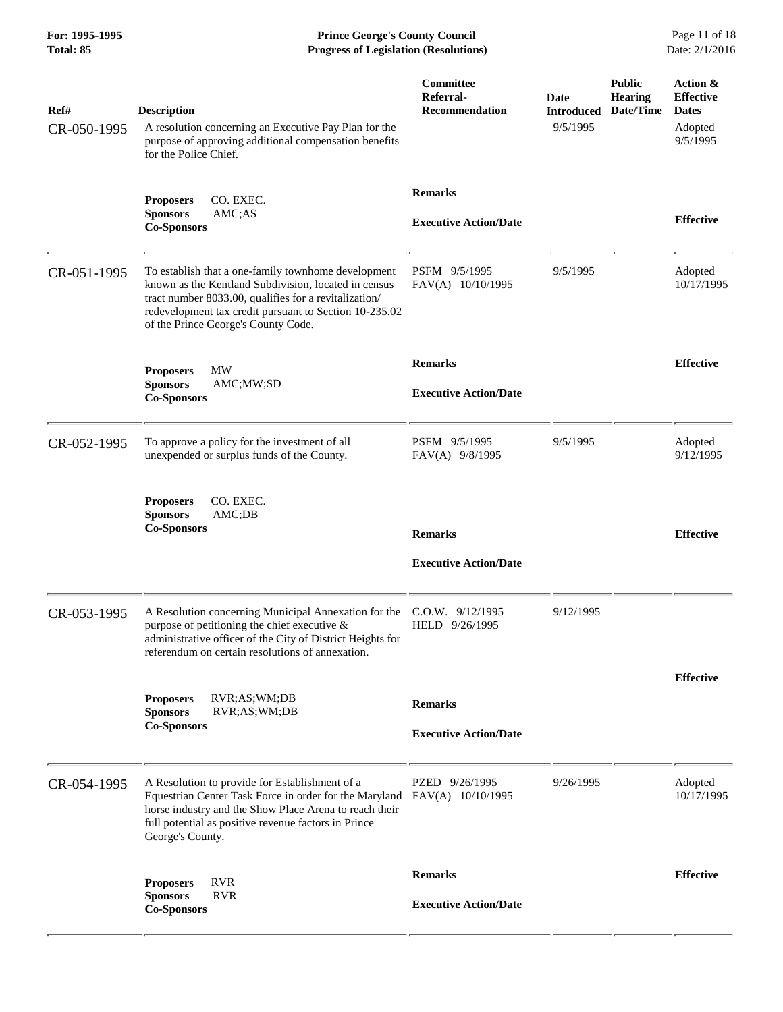**For: 1995-1995 Prince George's County Council** Page 11 of 18<br> **Prince George's County Council** Page 11 of 18<br> **Progress of Legislation (Resolutions)** Date: 2/1/2016 **Progress of Legislation (Resolutions) Progress of Legislation (Resolutions)** 

| Ref#<br>CR-050-1995 | <b>Description</b><br>A resolution concerning an Executive Pay Plan for the<br>purpose of approving additional compensation benefits<br>for the Police Chief.                                                                                                         | Committee<br>Referral-<br><b>Recommendation</b> | Date<br><b>Introduced</b><br>9/5/1995 | <b>Public</b><br><b>Hearing</b><br>Date/Time | Action &<br><b>Effective</b><br><b>Dates</b><br>Adopted<br>9/5/1995 |
|---------------------|-----------------------------------------------------------------------------------------------------------------------------------------------------------------------------------------------------------------------------------------------------------------------|-------------------------------------------------|---------------------------------------|----------------------------------------------|---------------------------------------------------------------------|
|                     | CO. EXEC.<br><b>Proposers</b><br>AMC;AS<br><b>Sponsors</b><br><b>Co-Sponsors</b>                                                                                                                                                                                      | <b>Remarks</b><br><b>Executive Action/Date</b>  |                                       |                                              | <b>Effective</b>                                                    |
| CR-051-1995         | To establish that a one-family townhome development<br>known as the Kentland Subdivision, located in census<br>tract number 8033.00, qualifies for a revitalization/<br>redevelopment tax credit pursuant to Section 10-235.02<br>of the Prince George's County Code. | PSFM 9/5/1995<br>FAV(A) 10/10/1995              | 9/5/1995                              |                                              | Adopted<br>10/17/1995                                               |
|                     | MW<br><b>Proposers</b><br><b>Sponsors</b><br>AMC;MW;SD<br><b>Co-Sponsors</b>                                                                                                                                                                                          | <b>Remarks</b><br><b>Executive Action/Date</b>  |                                       |                                              | <b>Effective</b>                                                    |
| CR-052-1995         | To approve a policy for the investment of all<br>unexpended or surplus funds of the County.                                                                                                                                                                           | PSFM 9/5/1995<br>FAV(A) 9/8/1995                | 9/5/1995                              |                                              | Adopted<br>9/12/1995                                                |
|                     | CO. EXEC.<br><b>Proposers</b><br><b>Sponsors</b><br>AMC;DB<br><b>Co-Sponsors</b>                                                                                                                                                                                      | <b>Remarks</b><br><b>Executive Action/Date</b>  |                                       |                                              | <b>Effective</b>                                                    |
| CR-053-1995         | A Resolution concerning Municipal Annexation for the<br>purpose of petitioning the chief executive &<br>administrative officer of the City of District Heights for<br>referendum on certain resolutions of annexation.                                                | $C.O.W.$ 9/12/1995<br>HELD 9/26/1995            | 9/12/1995                             |                                              |                                                                     |
|                     | <b>Proposers</b><br>RVR;AS;WM;DB<br><b>Sponsors</b><br>RVR;AS;WM;DB<br><b>Co-Sponsors</b>                                                                                                                                                                             | <b>Remarks</b><br><b>Executive Action/Date</b>  |                                       |                                              | <b>Effective</b>                                                    |
| CR-054-1995         | A Resolution to provide for Establishment of a<br>Equestrian Center Task Force in order for the Maryland<br>horse industry and the Show Place Arena to reach their<br>full potential as positive revenue factors in Prince<br>George's County.                        | PZED 9/26/1995<br>FAV(A) 10/10/1995             | 9/26/1995                             |                                              | Adopted<br>10/17/1995                                               |
|                     | <b>RVR</b><br><b>Proposers</b><br><b>RVR</b><br><b>Sponsors</b><br><b>Co-Sponsors</b>                                                                                                                                                                                 | <b>Remarks</b><br><b>Executive Action/Date</b>  |                                       |                                              | <b>Effective</b>                                                    |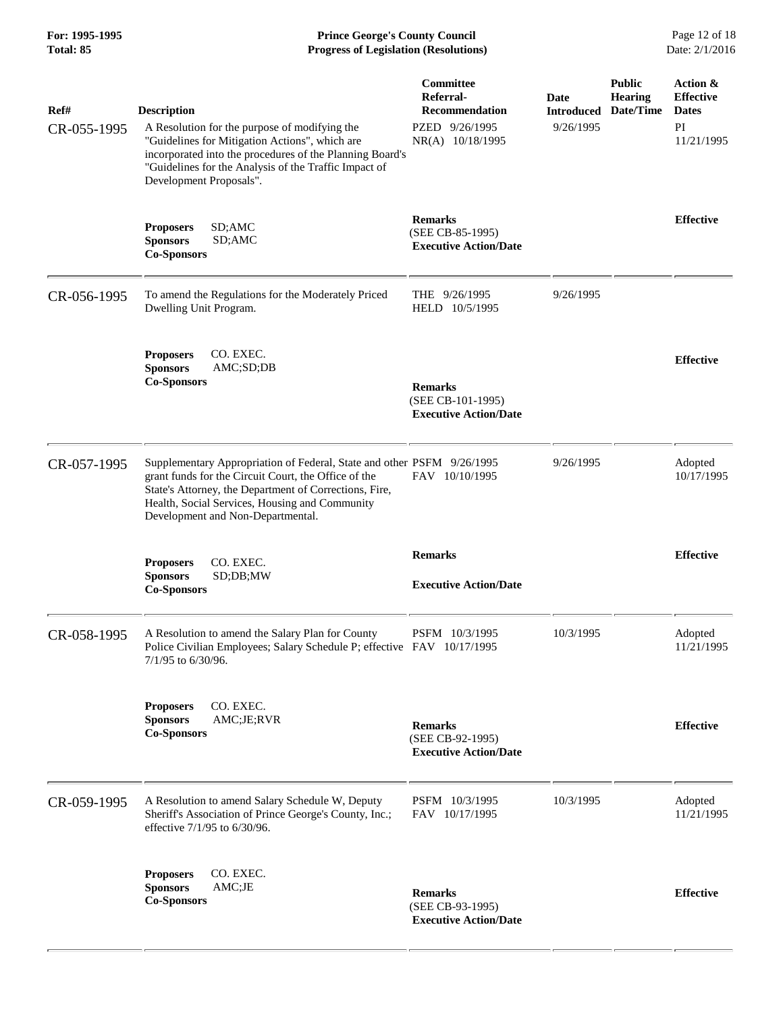**For: 1995-1995 Prince George's County Council** Page 12 of 18<br> **Prince George's County Council** Page 12 of 18<br> **Progress of Legislation (Resolutions)** Date: 2/1/2016 **Progress of Legislation (Resolutions) Progress of Legislation (Resolutions)** 

| Ref#<br>CR-055-1995 | <b>Description</b><br>A Resolution for the purpose of modifying the<br>"Guidelines for Mitigation Actions", which are<br>incorporated into the procedures of the Planning Board's<br>"Guidelines for the Analysis of the Traffic Impact of<br>Development Proposals".           | Committee<br>Referral-<br><b>Recommendation</b><br>PZED 9/26/1995<br>NR(A) 10/18/1995 | Date<br><b>Introduced</b><br>9/26/1995 | <b>Public</b><br><b>Hearing</b><br>Date/Time | Action &<br><b>Effective</b><br><b>Dates</b><br>PI<br>11/21/1995 |
|---------------------|---------------------------------------------------------------------------------------------------------------------------------------------------------------------------------------------------------------------------------------------------------------------------------|---------------------------------------------------------------------------------------|----------------------------------------|----------------------------------------------|------------------------------------------------------------------|
|                     | SD;AMC<br><b>Proposers</b><br>SD;AMC<br><b>Sponsors</b><br><b>Co-Sponsors</b>                                                                                                                                                                                                   | <b>Remarks</b><br>(SEE CB-85-1995)<br><b>Executive Action/Date</b>                    |                                        |                                              | <b>Effective</b>                                                 |
| CR-056-1995         | To amend the Regulations for the Moderately Priced<br>Dwelling Unit Program.                                                                                                                                                                                                    | THE 9/26/1995<br>HELD 10/5/1995                                                       | 9/26/1995                              |                                              |                                                                  |
|                     | <b>Proposers</b><br>CO. EXEC.<br>AMC;SD;DB<br><b>Sponsors</b><br><b>Co-Sponsors</b>                                                                                                                                                                                             | <b>Remarks</b><br>(SEE CB-101-1995)<br><b>Executive Action/Date</b>                   |                                        |                                              | <b>Effective</b>                                                 |
| CR-057-1995         | Supplementary Appropriation of Federal, State and other PSFM 9/26/1995<br>grant funds for the Circuit Court, the Office of the<br>State's Attorney, the Department of Corrections, Fire,<br>Health, Social Services, Housing and Community<br>Development and Non-Departmental. | FAV 10/10/1995                                                                        | 9/26/1995                              |                                              | Adopted<br>10/17/1995                                            |
|                     | CO. EXEC.<br><b>Proposers</b><br><b>Sponsors</b><br>SD;DB;MW<br><b>Co-Sponsors</b>                                                                                                                                                                                              | <b>Remarks</b><br><b>Executive Action/Date</b>                                        |                                        |                                              | <b>Effective</b>                                                 |
| CR-058-1995         | A Resolution to amend the Salary Plan for County<br>Police Civilian Employees; Salary Schedule P; effective FAV 10/17/1995<br>7/1/95 to 6/30/96.                                                                                                                                | PSFM 10/3/1995                                                                        | 10/3/1995                              |                                              | Adopted<br>11/21/1995                                            |
|                     | CO. EXEC.<br><b>Proposers</b><br><b>Sponsors</b><br>AMC;JE;RVR<br><b>Co-Sponsors</b>                                                                                                                                                                                            | <b>Remarks</b><br>(SEE CB-92-1995)<br><b>Executive Action/Date</b>                    |                                        |                                              | <b>Effective</b>                                                 |
| CR-059-1995         | A Resolution to amend Salary Schedule W, Deputy<br>Sheriff's Association of Prince George's County, Inc.;<br>effective 7/1/95 to 6/30/96.                                                                                                                                       | PSFM 10/3/1995<br>FAV 10/17/1995                                                      | 10/3/1995                              |                                              | Adopted<br>11/21/1995                                            |
|                     | CO. EXEC.<br><b>Proposers</b><br><b>Sponsors</b><br>AMC;JE<br><b>Co-Sponsors</b>                                                                                                                                                                                                | <b>Remarks</b><br>(SEE CB-93-1995)<br><b>Executive Action/Date</b>                    |                                        |                                              | <b>Effective</b>                                                 |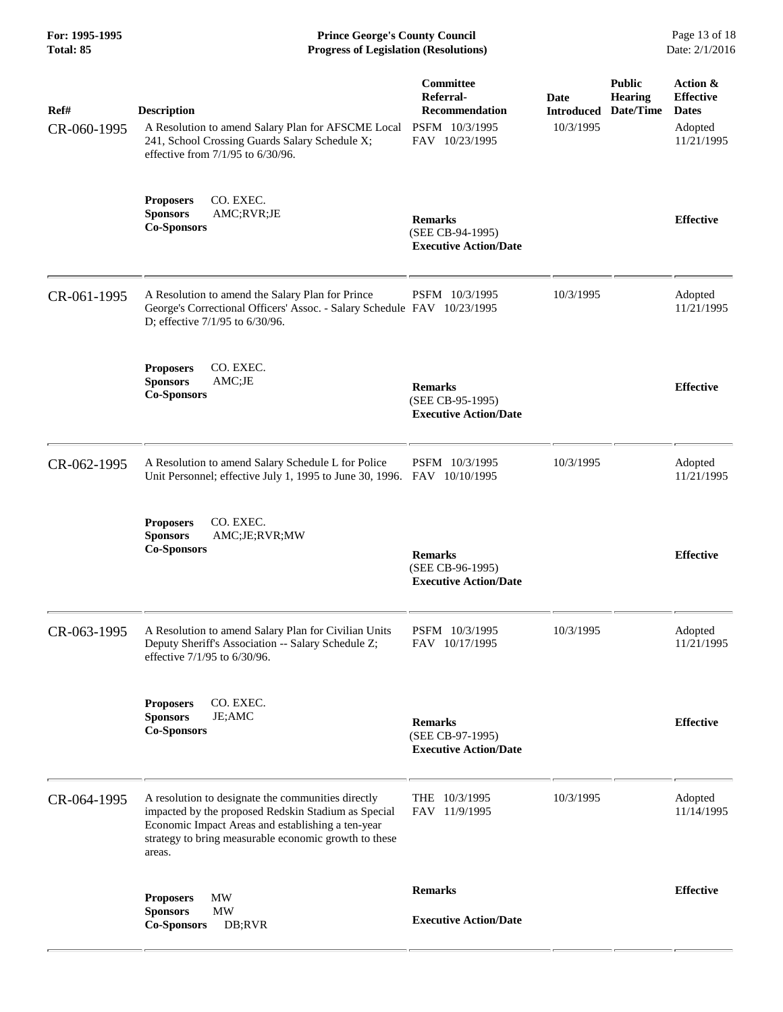**For: 1995-1995 Prince George's County Council** Page 13 of 18<br> **Prince George's County Council** Page 13 of 18<br> **Progress of Legislation (Resolutions)** Date: 2/1/2016 **Progress of Legislation (Resolutions) Progress of Legislation (Resolutions)** 

| Ref#<br>CR-060-1995 | <b>Description</b><br>A Resolution to amend Salary Plan for AFSCME Local<br>241, School Crossing Guards Salary Schedule X;<br>effective from $7/1/95$ to $6/30/96$ .                                                              | Committee<br>Referral-<br><b>Recommendation</b><br>PSFM 10/3/1995<br>FAV 10/23/1995 | Date<br><b>Introduced</b><br>10/3/1995 | <b>Public</b><br><b>Hearing</b><br>Date/Time | Action &<br><b>Effective</b><br><b>Dates</b><br>Adopted<br>11/21/1995 |
|---------------------|-----------------------------------------------------------------------------------------------------------------------------------------------------------------------------------------------------------------------------------|-------------------------------------------------------------------------------------|----------------------------------------|----------------------------------------------|-----------------------------------------------------------------------|
|                     | <b>Proposers</b><br>CO. EXEC.<br><b>Sponsors</b><br>AMC;RVR;JE<br><b>Co-Sponsors</b>                                                                                                                                              | <b>Remarks</b><br>(SEE CB-94-1995)<br><b>Executive Action/Date</b>                  |                                        |                                              | <b>Effective</b>                                                      |
| CR-061-1995         | A Resolution to amend the Salary Plan for Prince<br>George's Correctional Officers' Assoc. - Salary Schedule FAV 10/23/1995<br>D; effective 7/1/95 to 6/30/96.                                                                    | PSFM 10/3/1995                                                                      | 10/3/1995                              |                                              | Adopted<br>11/21/1995                                                 |
|                     | CO. EXEC.<br><b>Proposers</b><br><b>Sponsors</b><br>AMC;JE<br><b>Co-Sponsors</b>                                                                                                                                                  | <b>Remarks</b><br>(SEE CB-95-1995)<br><b>Executive Action/Date</b>                  |                                        |                                              | <b>Effective</b>                                                      |
| CR-062-1995         | A Resolution to amend Salary Schedule L for Police<br>Unit Personnel; effective July 1, 1995 to June 30, 1996. FAV 10/10/1995                                                                                                     | PSFM 10/3/1995                                                                      | 10/3/1995                              |                                              | Adopted<br>11/21/1995                                                 |
|                     | <b>Proposers</b><br>CO. EXEC.<br><b>Sponsors</b><br>AMC;JE;RVR;MW<br><b>Co-Sponsors</b>                                                                                                                                           | <b>Remarks</b><br>(SEE CB-96-1995)<br><b>Executive Action/Date</b>                  |                                        |                                              | <b>Effective</b>                                                      |
| CR-063-1995         | A Resolution to amend Salary Plan for Civilian Units<br>Deputy Sheriff's Association -- Salary Schedule Z;<br>effective 7/1/95 to 6/30/96.                                                                                        | PSFM 10/3/1995<br>FAV 10/17/1995                                                    | 10/3/1995                              |                                              | Adopted<br>11/21/1995                                                 |
|                     | CO. EXEC.<br><b>Proposers</b><br><b>Sponsors</b><br>JE;AMC<br><b>Co-Sponsors</b>                                                                                                                                                  | <b>Remarks</b><br>(SEE CB-97-1995)<br><b>Executive Action/Date</b>                  |                                        |                                              | <b>Effective</b>                                                      |
| CR-064-1995         | A resolution to designate the communities directly<br>impacted by the proposed Redskin Stadium as Special<br>Economic Impact Areas and establishing a ten-year<br>strategy to bring measurable economic growth to these<br>areas. | THE 10/3/1995<br>FAV 11/9/1995                                                      | 10/3/1995                              |                                              | Adopted<br>11/14/1995                                                 |
|                     | MW<br><b>Proposers</b><br><b>MW</b><br><b>Sponsors</b><br><b>Co-Sponsors</b><br>DB;RVR                                                                                                                                            | <b>Remarks</b><br><b>Executive Action/Date</b>                                      |                                        |                                              | <b>Effective</b>                                                      |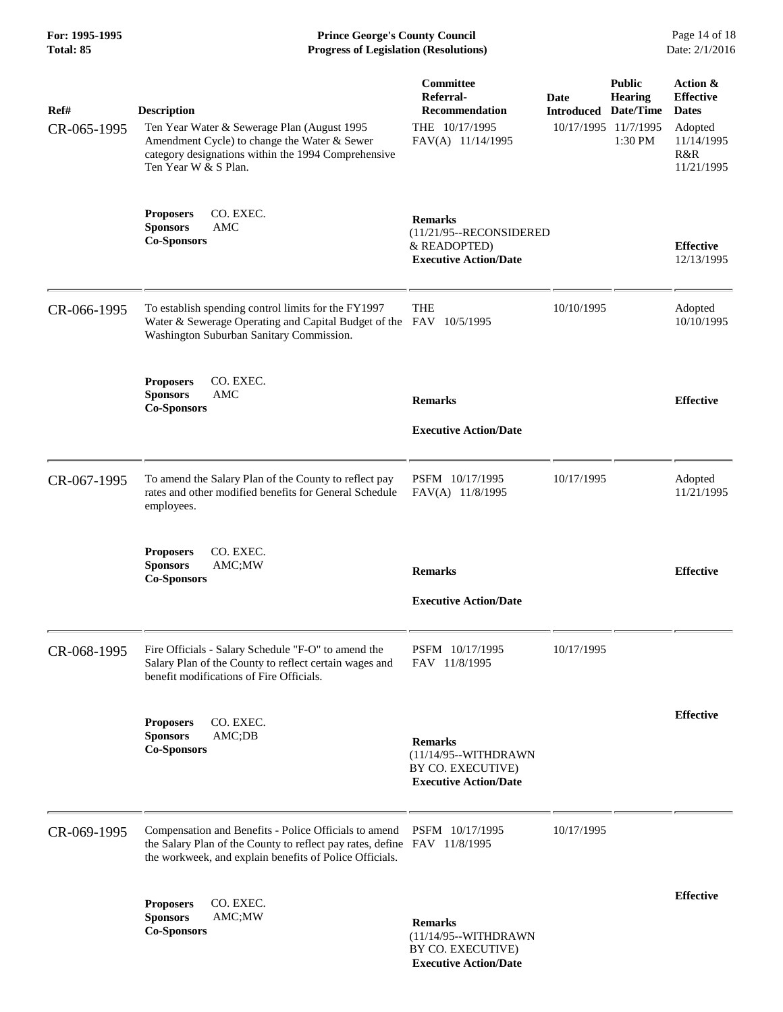**For: 1995-1995 Prince George's County Council** Page 14 of 18<br> **Prince George's County Council** Page 14 of 18<br> **Progress of Legislation (Resolutions)** Date: 2/1/2016 **Total: 85 Progress of Legislation (Resolutions)** 

| Ref#        | <b>Description</b>                                                                                                                                                                           | Committee<br>Referral-<br>Recommendation                                                    | <b>Date</b><br><b>Introduced</b> | <b>Public</b><br><b>Hearing</b><br>Date/Time | Action &<br><b>Effective</b><br><b>Dates</b> |
|-------------|----------------------------------------------------------------------------------------------------------------------------------------------------------------------------------------------|---------------------------------------------------------------------------------------------|----------------------------------|----------------------------------------------|----------------------------------------------|
| CR-065-1995 | Ten Year Water & Sewerage Plan (August 1995<br>Amendment Cycle) to change the Water & Sewer<br>category designations within the 1994 Comprehensive<br>Ten Year W & S Plan.                   | THE 10/17/1995<br>FAV(A) 11/14/1995                                                         | 10/17/1995 11/7/1995             | 1:30 PM                                      | Adopted<br>11/14/1995<br>R&R<br>11/21/1995   |
|             | CO. EXEC.<br><b>Proposers</b><br><b>Sponsors</b><br>AMC<br><b>Co-Sponsors</b>                                                                                                                | <b>Remarks</b><br>(11/21/95--RECONSIDERED<br>& READOPTED)<br><b>Executive Action/Date</b>   |                                  |                                              | <b>Effective</b><br>12/13/1995               |
| CR-066-1995 | To establish spending control limits for the FY1997<br>Water & Sewerage Operating and Capital Budget of the FAV 10/5/1995<br>Washington Suburban Sanitary Commission.                        | <b>THE</b>                                                                                  | 10/10/1995                       |                                              | Adopted<br>10/10/1995                        |
|             | CO. EXEC.<br><b>Proposers</b><br><b>Sponsors</b><br>AMC<br><b>Co-Sponsors</b>                                                                                                                | <b>Remarks</b>                                                                              |                                  |                                              | <b>Effective</b>                             |
|             |                                                                                                                                                                                              | <b>Executive Action/Date</b>                                                                |                                  |                                              |                                              |
| CR-067-1995 | To amend the Salary Plan of the County to reflect pay<br>rates and other modified benefits for General Schedule<br>employees.                                                                | PSFM 10/17/1995<br>FAV(A) 11/8/1995                                                         | 10/17/1995                       |                                              | Adopted<br>11/21/1995                        |
|             | CO. EXEC.<br><b>Proposers</b><br><b>Sponsors</b><br>AMC;MW<br><b>Co-Sponsors</b>                                                                                                             | <b>Remarks</b>                                                                              |                                  |                                              | <b>Effective</b>                             |
|             |                                                                                                                                                                                              | <b>Executive Action/Date</b>                                                                |                                  |                                              |                                              |
| CR-068-1995 | Fire Officials - Salary Schedule "F-O" to amend the<br>Salary Plan of the County to reflect certain wages and<br>benefit modifications of Fire Officials.                                    | PSFM 10/17/1995<br>FAV 11/8/1995                                                            | 10/17/1995                       |                                              |                                              |
|             |                                                                                                                                                                                              |                                                                                             |                                  |                                              | <b>Effective</b>                             |
|             | <b>Proposers</b><br>CO. EXEC.<br>AMC;DB<br><b>Sponsors</b><br><b>Co-Sponsors</b>                                                                                                             | <b>Remarks</b><br>(11/14/95--WITHDRAWN<br>BY CO. EXECUTIVE)<br><b>Executive Action/Date</b> |                                  |                                              |                                              |
| CR-069-1995 | Compensation and Benefits - Police Officials to amend<br>the Salary Plan of the County to reflect pay rates, define FAV 11/8/1995<br>the workweek, and explain benefits of Police Officials. | PSFM 10/17/1995                                                                             | 10/17/1995                       |                                              |                                              |
|             | CO. EXEC.<br><b>Proposers</b><br><b>Sponsors</b><br>AMC;MW<br><b>Co-Sponsors</b>                                                                                                             | <b>Remarks</b><br>(11/14/95--WITHDRAWN<br>BY CO. EXECUTIVE)                                 |                                  |                                              | <b>Effective</b>                             |

 **Executive Action/Date**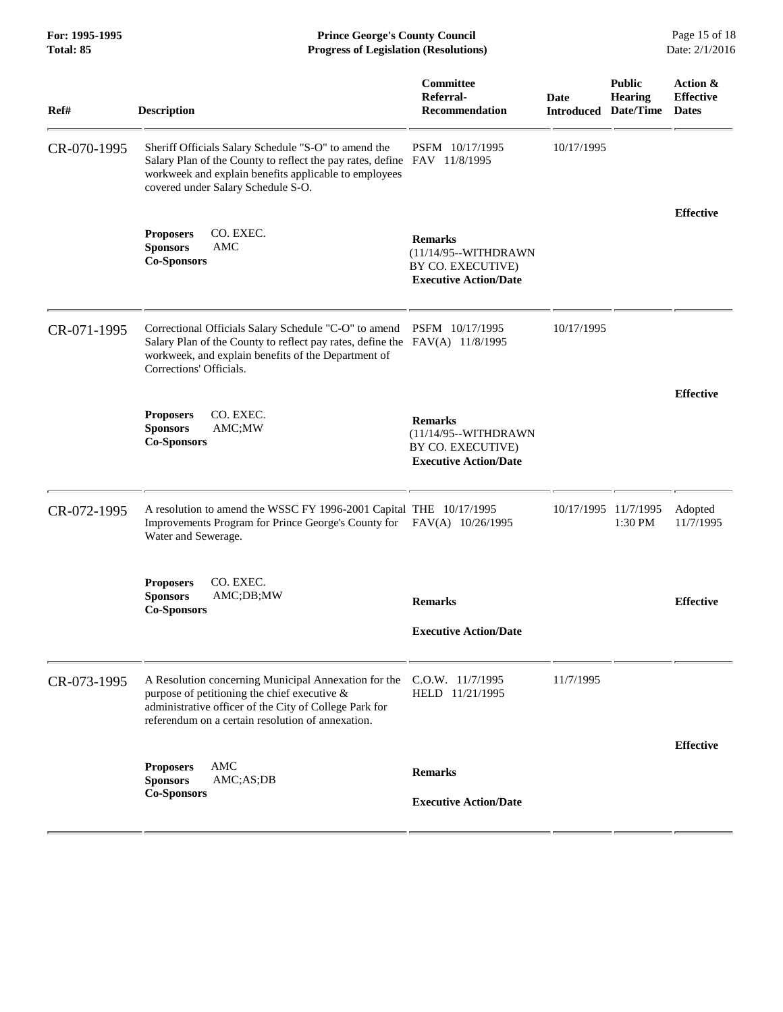| For: 1995-1995<br>Total: 85 | <b>Prince George's County Council</b><br><b>Progress of Legislation (Resolutions)</b>                                                                                                                                                  |                                                                                             |                                     |                                 | Page 15 of 18<br>Date: 2/1/2016              |
|-----------------------------|----------------------------------------------------------------------------------------------------------------------------------------------------------------------------------------------------------------------------------------|---------------------------------------------------------------------------------------------|-------------------------------------|---------------------------------|----------------------------------------------|
| Ref#                        | <b>Description</b>                                                                                                                                                                                                                     | <b>Committee</b><br>Referral-<br>Recommendation                                             | Date<br><b>Introduced Date/Time</b> | <b>Public</b><br><b>Hearing</b> | Action &<br><b>Effective</b><br><b>Dates</b> |
| CR-070-1995                 | Sheriff Officials Salary Schedule "S-O" to amend the<br>Salary Plan of the County to reflect the pay rates, define FAV 11/8/1995<br>workweek and explain benefits applicable to employees<br>covered under Salary Schedule S-O.        | PSFM 10/17/1995                                                                             | 10/17/1995                          |                                 |                                              |
|                             | CO. EXEC.<br><b>Proposers</b><br><b>Sponsors</b><br>AMC<br><b>Co-Sponsors</b>                                                                                                                                                          | <b>Remarks</b><br>(11/14/95--WITHDRAWN<br>BY CO. EXECUTIVE)<br><b>Executive Action/Date</b> |                                     |                                 | <b>Effective</b>                             |
| CR-071-1995                 | Correctional Officials Salary Schedule "C-O" to amend PSFM 10/17/1995<br>Salary Plan of the County to reflect pay rates, define the FAV(A) 11/8/1995<br>workweek, and explain benefits of the Department of<br>Corrections' Officials. |                                                                                             | 10/17/1995                          |                                 |                                              |
|                             | CO. EXEC.<br><b>Proposers</b><br><b>Sponsors</b><br>AMC;MW<br><b>Co-Sponsors</b>                                                                                                                                                       | <b>Remarks</b><br>(11/14/95--WITHDRAWN<br>BY CO. EXECUTIVE)<br><b>Executive Action/Date</b> |                                     |                                 | <b>Effective</b>                             |
| CR-072-1995                 | A resolution to amend the WSSC FY 1996-2001 Capital THE 10/17/1995<br>Improvements Program for Prince George's County for FAV(A) 10/26/1995<br>Water and Sewerage.                                                                     |                                                                                             |                                     | 10/17/1995 11/7/1995<br>1:30 PM | Adopted<br>11/7/1995                         |
|                             | CO. EXEC.<br><b>Proposers</b><br>AMC;DB;MW<br>Sponsors<br><b>Co-Sponsors</b>                                                                                                                                                           | <b>Remarks</b><br><b>Executive Action/Date</b>                                              |                                     |                                 | <b>Effective</b>                             |
| CR-073-1995                 | A Resolution concerning Municipal Annexation for the<br>purpose of petitioning the chief executive $\&$<br>administrative officer of the City of College Park for<br>referendum on a certain resolution of annexation.                 | $C.0.W.$ 11/7/1995<br>HELD 11/21/1995                                                       | 11/7/1995                           |                                 |                                              |
|                             | AMC<br><b>Proposers</b><br><b>Sponsors</b><br>AMC;AS;DB<br><b>Co-Sponsors</b>                                                                                                                                                          | <b>Remarks</b><br><b>Executive Action/Date</b>                                              |                                     |                                 | <b>Effective</b>                             |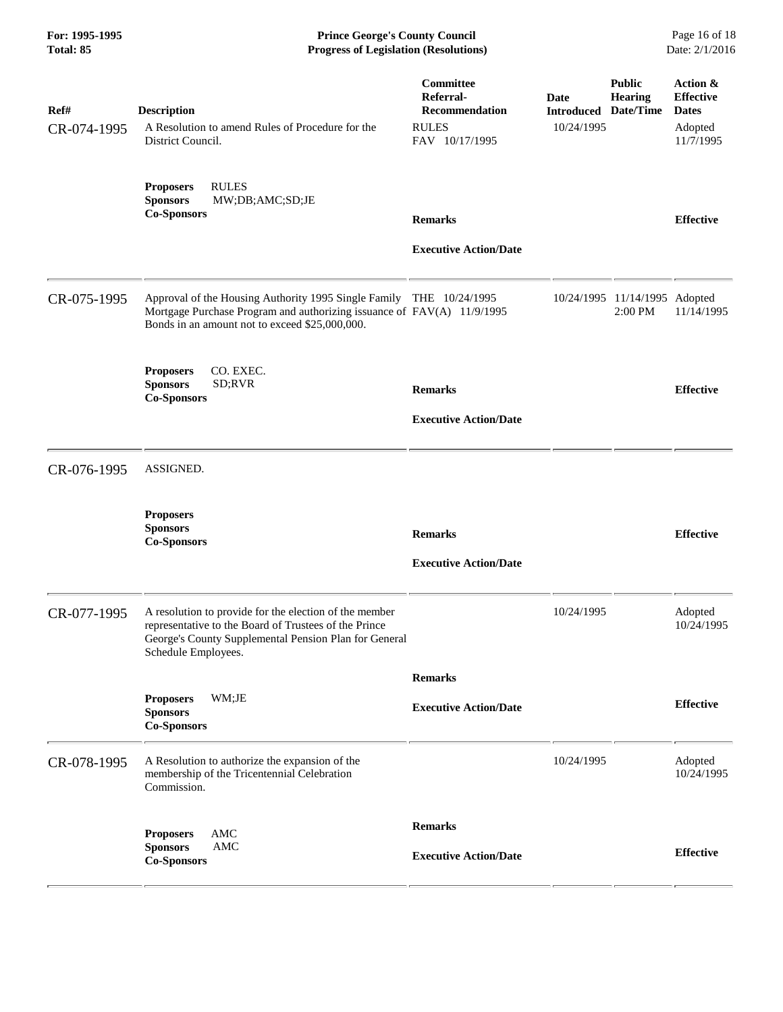**For: 1995-1995 Prince George's County Council** Page 16 of 18<br> **Prince George's County Council** Page 16 of 18<br> **Progress of Legislation (Resolutions)** Date: 2/1/2016 **Progress of Legislation (Resolutions) Progress of Legislation (Resolutions)** 

| Ref#<br>CR-074-1995 | <b>Description</b><br>A Resolution to amend Rules of Procedure for the<br>District Council.                                                                                                     | Committee<br>Referral-<br><b>Recommendation</b><br><b>RULES</b><br>FAV 10/17/1995 | Date<br><b>Introduced</b><br>10/24/1995 | <b>Public</b><br><b>Hearing</b><br>Date/Time | Action &<br><b>Effective</b><br><b>Dates</b><br>Adopted<br>11/7/1995 |
|---------------------|-------------------------------------------------------------------------------------------------------------------------------------------------------------------------------------------------|-----------------------------------------------------------------------------------|-----------------------------------------|----------------------------------------------|----------------------------------------------------------------------|
|                     | <b>RULES</b><br><b>Proposers</b><br><b>Sponsors</b><br>MW;DB;AMC;SD;JE<br><b>Co-Sponsors</b>                                                                                                    | <b>Remarks</b><br><b>Executive Action/Date</b>                                    |                                         |                                              | <b>Effective</b>                                                     |
| CR-075-1995         | Approval of the Housing Authority 1995 Single Family THE 10/24/1995<br>Mortgage Purchase Program and authorizing issuance of FAV(A) 11/9/1995<br>Bonds in an amount not to exceed \$25,000,000. |                                                                                   |                                         | 10/24/1995 11/14/1995<br>2:00 PM             | Adopted<br>11/14/1995                                                |
|                     | CO. EXEC.<br><b>Proposers</b><br><b>Sponsors</b><br>SD;RVR<br><b>Co-Sponsors</b>                                                                                                                | <b>Remarks</b><br><b>Executive Action/Date</b>                                    |                                         |                                              | <b>Effective</b>                                                     |
| CR-076-1995         | ASSIGNED.                                                                                                                                                                                       |                                                                                   |                                         |                                              |                                                                      |
|                     | <b>Proposers</b><br><b>Sponsors</b><br><b>Co-Sponsors</b>                                                                                                                                       | <b>Remarks</b><br><b>Executive Action/Date</b>                                    |                                         |                                              | <b>Effective</b>                                                     |
| CR-077-1995         | A resolution to provide for the election of the member<br>representative to the Board of Trustees of the Prince<br>George's County Supplemental Pension Plan for General<br>Schedule Employees. |                                                                                   | 10/24/1995                              |                                              | Adopted<br>10/24/1995                                                |
|                     | WM;JE<br><b>Proposers</b><br><b>Sponsors</b><br><b>Co-Sponsors</b>                                                                                                                              | <b>Remarks</b><br><b>Executive Action/Date</b>                                    |                                         |                                              | <b>Effective</b>                                                     |
| CR-078-1995         | A Resolution to authorize the expansion of the<br>membership of the Tricentennial Celebration<br>Commission.                                                                                    |                                                                                   | 10/24/1995                              |                                              | Adopted<br>10/24/1995                                                |
|                     | <b>AMC</b><br><b>Proposers</b><br><b>AMC</b><br><b>Sponsors</b><br><b>Co-Sponsors</b>                                                                                                           | <b>Remarks</b><br><b>Executive Action/Date</b>                                    |                                         |                                              | <b>Effective</b>                                                     |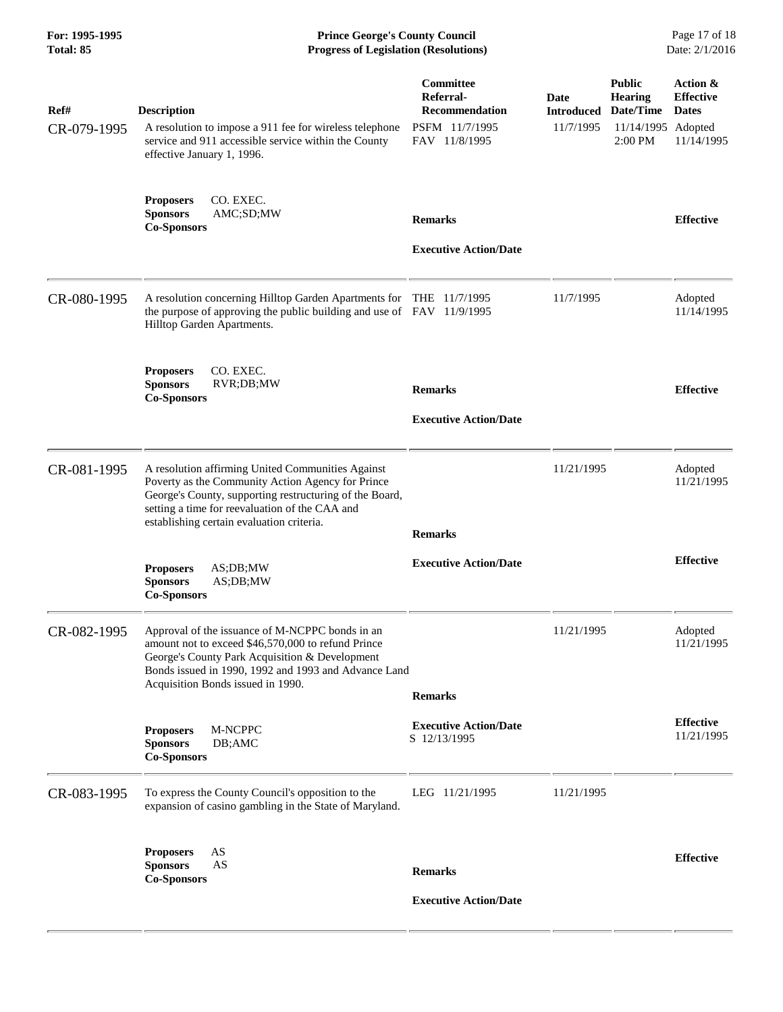| For: 1995-1995<br>Total: 85 | <b>Prince George's County Council</b><br><b>Progress of Legislation (Resolutions)</b>                                                                                                                                                                            |                                                                                           |                                        | Page 17 of 18<br>Date: 2/1/2016                                       |                                                                       |
|-----------------------------|------------------------------------------------------------------------------------------------------------------------------------------------------------------------------------------------------------------------------------------------------------------|-------------------------------------------------------------------------------------------|----------------------------------------|-----------------------------------------------------------------------|-----------------------------------------------------------------------|
| Ref#<br>CR-079-1995         | <b>Description</b><br>A resolution to impose a 911 fee for wireless telephone<br>service and 911 accessible service within the County<br>effective January 1, 1996.                                                                                              | <b>Committee</b><br>Referral-<br><b>Recommendation</b><br>PSFM 11/7/1995<br>FAV 11/8/1995 | Date<br><b>Introduced</b><br>11/7/1995 | <b>Public</b><br><b>Hearing</b><br>Date/Time<br>11/14/1995<br>2:00 PM | Action &<br><b>Effective</b><br><b>Dates</b><br>Adopted<br>11/14/1995 |
|                             | <b>Proposers</b><br>CO. EXEC.<br>AMC;SD;MW<br><b>Sponsors</b><br><b>Co-Sponsors</b>                                                                                                                                                                              | <b>Remarks</b><br><b>Executive Action/Date</b>                                            |                                        |                                                                       | <b>Effective</b>                                                      |
| CR-080-1995                 | A resolution concerning Hilltop Garden Apartments for THE 11/7/1995<br>the purpose of approving the public building and use of FAV 11/9/1995<br>Hilltop Garden Apartments.                                                                                       |                                                                                           | 11/7/1995                              |                                                                       | Adopted<br>11/14/1995                                                 |
|                             | CO. EXEC.<br><b>Proposers</b><br><b>Sponsors</b><br>RVR;DB;MW<br><b>Co-Sponsors</b>                                                                                                                                                                              | <b>Remarks</b><br><b>Executive Action/Date</b>                                            |                                        |                                                                       | <b>Effective</b>                                                      |
| CR-081-1995                 | A resolution affirming United Communities Against<br>Poverty as the Community Action Agency for Prince<br>George's County, supporting restructuring of the Board,<br>setting a time for reevaluation of the CAA and<br>establishing certain evaluation criteria. | <b>Remarks</b>                                                                            | 11/21/1995                             |                                                                       | Adopted<br>11/21/1995                                                 |
|                             | <b>Proposers</b><br>AS:DB:MW<br>AS;DB;MW<br><b>Sponsors</b><br>$\operatorname{Co-Sponsors}$                                                                                                                                                                      | <b>Executive Action/Date</b>                                                              |                                        |                                                                       | <b>Effective</b>                                                      |
| CR-082-1995                 | Approval of the issuance of M-NCPPC bonds in an<br>amount not to exceed \$46,570,000 to refund Prince<br>George's County Park Acquisition & Development<br>Bonds issued in 1990, 1992 and 1993 and Advance Land<br>Acquisition Bonds issued in 1990.             | <b>Remarks</b>                                                                            | 11/21/1995                             |                                                                       | Adopted<br>11/21/1995                                                 |
|                             | M-NCPPC<br><b>Proposers</b><br><b>Sponsors</b><br>DB;AMC<br><b>Co-Sponsors</b>                                                                                                                                                                                   | <b>Executive Action/Date</b><br>S 12/13/1995                                              |                                        |                                                                       | <b>Effective</b><br>11/21/1995                                        |
| CR-083-1995                 | To express the County Council's opposition to the<br>expansion of casino gambling in the State of Maryland.                                                                                                                                                      | LEG 11/21/1995                                                                            | 11/21/1995                             |                                                                       |                                                                       |
|                             | AS<br><b>Proposers</b><br>AS<br><b>Sponsors</b><br><b>Co-Sponsors</b>                                                                                                                                                                                            | <b>Remarks</b>                                                                            |                                        |                                                                       | <b>Effective</b>                                                      |
|                             |                                                                                                                                                                                                                                                                  | <b>Executive Action/Date</b>                                                              |                                        |                                                                       |                                                                       |